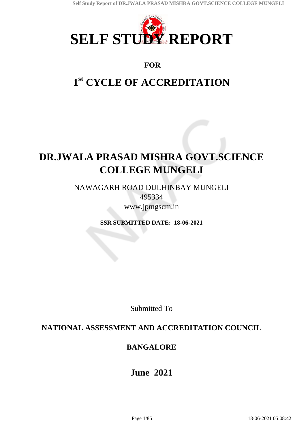

### **FOR**

# **1 st CYCLE OF ACCREDITATION**

# **DR.JWALA PRASAD MISHRA GOVT.SCIENCE COLLEGE MUNGELI**

NAWAGARH ROAD DULHINBAY MUNGELI 495334 www.jpmgscm.in

**SSR SUBMITTED DATE: 18-06-2021**

Submitted To

### **NATIONAL ASSESSMENT AND ACCREDITATION COUNCIL**

### **BANGALORE**

### **June 2021**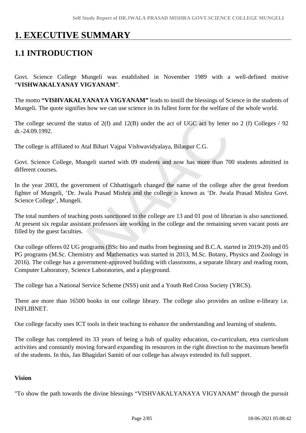## **1. EXECUTIVE SUMMARY**

### **1.1 INTRODUCTION**

Govt. Science College Mungeli was established in November 1989 with a well-defined motive "**VISHWAKALYANAY VIGYANAM**".

The motto **"VISHVAKALYANAYA VIGYANAM"** leads to instill the blessings of Science in the students of Mungeli. The quote signifies how we can use science in its fullest form for the welfare of the whole world.

The college secured the status of 2(f) and 12(B) under the act of UGC act by letter no 2 (f) Colleges / 92 dt.-24.09.1992.

The college is affiliated to Atal Bihari Vajpai Vishwavidyalaya, Bilaspur C.G.

Govt. Science College, Mungeli started with 09 students and now has more than 700 students admitted in different courses.

In the year 2003, the government of Chhattisgarh changed the name of the college after the great freedom fighter of Mungeli, 'Dr. Jwala Prasad Mishra and the college is known as 'Dr. Jwala Prasad Mishra Govt. Science College', Mungeli.

The total numbers of teaching posts sanctioned in the college are 13 and 01 post of librarian is also sanctioned. At present six regular assistant professors are working in the college and the remaining seven vacant posts are filled by the guest faculties.

Our college offeres 02 UG programs (BSc bio and maths from beginning and B.C.A. started in 2019-20) and 05 PG programs (M.Sc. Chemistry and Mathematics was started in 2013, M.Sc. Botany, Physics and Zoology in 2016). The college has a government-approved building with classrooms, a separate library and reading room, Computer Laboratory, Science Laboratories, and a playground.

The college has a National Service Scheme (NSS) unit and a Youth Red Cross Society (YRCS).

There are more than 16500 books in our college library. The college also provides an online e-library i.e. INFLIBNET.

Our college faculty uses ICT tools in their teaching to enhance the understanding and learning of students.

The college has completed its 33 years of being a hub of quality education, co-curriculum, etra curriculum activities and constantly moving forward expanding its resources in the right direction to the maximum benefit of the students. In this, Jan Bhagidari Samiti of our college has always extended its full support.

#### **Vision**

"To show the path towards the divine blessings "VISHVAKALYANAYA VIGYANAM" through the pursuit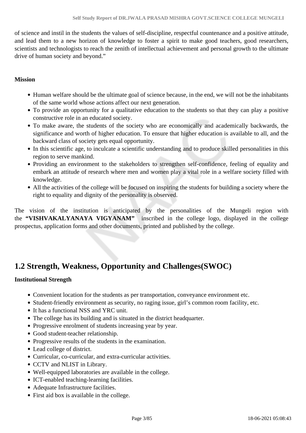of science and instil in the students the values of self-discipline, respectful countenance and a positive attitude, and lead them to a new horizon of knowledge to foster a spirit to make good teachers, good researchers, scientists and technologists to reach the zenith of intellectual achievement and personal growth to the ultimate drive of human society and beyond."

#### **Mission**

- Human welfare should be the ultimate goal of science because, in the end, we will not be the inhabitants of the same world whose actions affect our next generation.
- To provide an opportunity for a qualitative education to the students so that they can play a positive constructive role in an educated society.
- To make aware, the students of the society who are economically and academically backwards, the significance and worth of higher education. To ensure that higher education is available to all, and the backward class of society gets equal opportunity.
- In this scientific age, to inculcate a scientific understanding and to produce skilled personalities in this region to serve mankind.
- Providing an environment to the stakeholders to strengthen self-confidence, feeling of equality and embark an attitude of research where men and women play a vital role in a welfare society filled with knowledge.
- All the activities of the college will be focused on inspiring the students for building a society where the right to equality and dignity of the personality is observed.

The vision of the institution is anticipated by the personalities of the Mungeli region with the **"VISHVAKALYANAYA VIGYANAM"** inscribed in the college logo, displayed in the college prospectus, application forms and other documents, printed and published by the college.

### **1.2 Strength, Weakness, Opportunity and Challenges(SWOC)**

#### **Institutional Strength**

- Convenient location for the students as per transportation, conveyance environment etc.
- Student-friendly environment as security, no raging issue, girl's common room facility, etc.
- It has a functional NSS and YRC unit.
- The college has its building and is situated in the district headquarter.
- Progressive enrolment of students increasing year by year.
- Good student-teacher relationship.
- Progressive results of the students in the examination.
- Lead college of district.
- Curricular, co-curricular, and extra-curricular activities.
- CCTV and NLIST in Library.
- Well-equipped laboratories are available in the college.
- ICT-enabled teaching-learning facilities.
- Adequate Infrastructure facilities.
- First aid box is available in the college.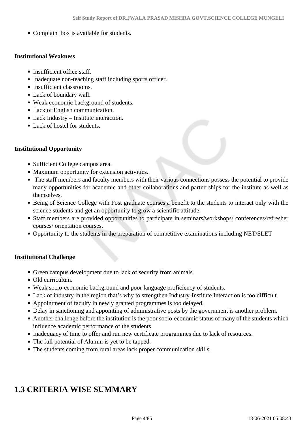• Complaint box is available for students.

#### **Institutional Weakness**

- Insufficient office staff.
- Inadequate non-teaching staff including sports officer.
- Insufficient classrooms.
- Lack of boundary wall.
- Weak economic background of students.
- Lack of English communication.
- Lack Industry Institute interaction.
- Lack of hostel for students.

#### **Institutional Opportunity**

- Sufficient College campus area.
- Maximum opportunity for extension activities.
- The staff members and faculty members with their various connections possess the potential to provide many opportunities for academic and other collaborations and partnerships for the institute as well as themselves.
- Being of Science College with Post graduate courses a benefit to the students to interact only with the science students and get an opportunity to grow a scientific attitude.
- Staff members are provided opportunities to participate in seminars/workshops/ conferences/refresher courses/ orientation courses.
- Opportunity to the students in the preparation of competitive examinations including NET/SLET

#### **Institutional Challenge**

- Green campus development due to lack of security from animals.
- Old curriculum.
- Weak socio-economic background and poor language proficiency of students.
- Lack of industry in the region that's why to strengthen Industry-Institute Interaction is too difficult.
- Appointment of faculty in newly granted programmes is too delayed.
- Delay in sanctioning and appointing of administrative posts by the government is another problem.
- Another challenge before the institution is the poor socio-economic status of many of the students which influence academic performance of the students.
- Inadequacy of time to offer and run new certificate programmes due to lack of resources.
- The full potential of Alumni is yet to be tapped.
- The students coming from rural areas lack proper communication skills.

### **1.3 CRITERIA WISE SUMMARY**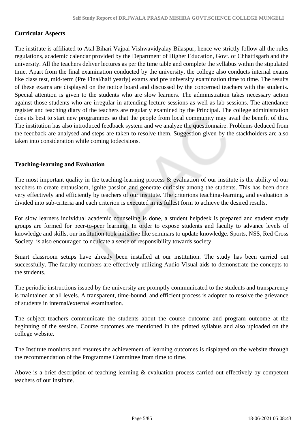#### **Curricular Aspects**

The institute is affiliated to Atal Bihari Vajpai Vishwavidyalay Bilaspur, hence we strictly follow all the rules regulations, academic calendar provided by the Department of Higher Education, Govt. of Chhattisgarh and the university. All the teachers deliver lectures as per the time table and complete the syllabus within the stipulated time. Apart from the final examination conducted by the university, the college also conducts internal exams like class test, mid-term (Pre Final/half yearly) exams and pre university examination time to time. The results of these exams are displayed on the notice board and discussed by the concerned teachers with the students. Special attention is given to the students who are slow learners. The administration takes necessary action against those students who are irregular in attending lecture sessions as well as lab sessions. The attendance register and teaching diary of the teachers are regularly examined by the Principal. The college administration does its best to start new programmes so that the people from local community may avail the benefit of this. The institution has also introduced feedback system and we analyze the questionnaire. Problems deduced from the feedback are analysed and steps are taken to resolve them. Suggestion given by the stackholders are also taken into consideration while coming todecisions.

#### **Teaching-learning and Evaluation**

The most important quality in the teaching-learning process & evaluation of our institute is the ability of our teachers to create enthusiasm, ignite passion and generate curiosity among the students. This has been done very effectively and efficiently by teachers of our institute. The criterions teaching-learning, and evaluation is divided into sub-criteria and each criterion is executed in its fullest form to achieve the desired results.

For slow learners individual academic counseling is done, a student helpdesk is prepared and student study groups are formed for peer-to-peer learning. In order to expose students and faculty to advance levels of knowledge and skills, our institution took initiative like seminars to update knowledge. Sports, NSS, Red Cross Society is also encouraged to nculcate a sense of responsibility towards society.

Smart classroom setups have already been installed at our institution. The study has been carried out successfully. The faculty members are effectively utilizing Audio-Visual aids to demonstrate the concepts to the students.

The periodic instructions issued by the university are promptly communicated to the students and transparency is maintained at all levels. A transparent, time-bound, and efficient process is adopted to resolve the grievance of students in internal/external examination.

The subject teachers communicate the students about the course outcome and program outcome at the beginning of the session. Course outcomes are mentioned in the printed syllabus and also uploaded on the college website.

The Institute monitors and ensures the achievement of learning outcomes is displayed on the website through the recommendation of the Programme Committee from time to time.

Above is a brief description of teaching learning & evaluation process carried out effectively by competent teachers of our institute.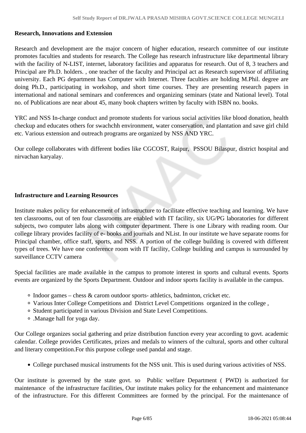#### **Research, Innovations and Extension**

Research and development are the major concern of higher education, research committee of our institute promotes faculties and students for research. The College has research infrastructure like departmental library with the facility of N-LIST, internet, laboratory facilities and apparatus for research. Out of 8, 3 teachers and Principal are Ph.D. holders. , one teacher of the faculty and Principal act as Research supervisor of affiliating university. Each PG department has Computer with Internet. Three faculties are holding M.Phil. degree are doing Ph.D., participating in workshop, and short time courses. They are presenting research papers in international and national seminars and conferences and organizing seminars (state and National level). Total no. of Publications are near about 45, many book chapters written by faculty with ISBN no. books.

YRC and NSS In-charge conduct and promote students for various social activities like blood donation, health checkup and educates others for swachchh environment, water conservation, and plantation and save girl child etc. Various extension and outreach programs are organized by NSS AND YRC.

Our college collaborates with different bodies like CGCOST, Raipur, PSSOU Bilaspur, district hospital and nirvachan karyalay.

#### **Infrastructure and Learning Resources**

Institute makes policy for enhancement of infrastructure to facilitate effective teaching and learning. We have ten classrooms, out of ten four classrooms are enabled with IT facility, six UG/PG laboratories for different subjects, two computer labs along with computer department. There is one Library with reading room. Our college library provides facility of e- books and journals and NList. In our institute we have separate rooms for Principal chamber, office staff, sports, and NSS. A portion of the college building is covered with different types of trees. We have one conference room with IT facility, College building and campus is surrounded by surveillance CCTV camera

Special facilities are made available in the campus to promote interest in sports and cultural events. Sports events are organized by the Sports Department. Outdoor and indoor sports facility is available in the campus.

- $\circ$  Indoor games chess & carom outdoor sports- athletics, badminton, cricket etc.
- Various Inter College Competitions and District Level Competitions organized in the college ,
- Student participated in various Division and State Level Competitions.
- .Manage hall for yoga day.

Our College organizes social gathering and prize distribution function every year according to govt. academic calendar. College provides Certificates, prizes and medals to winners of the cultural, sports and other cultural and literary competition.For this purpose college used pandal and stage.

College purchased musical instruments fot the NSS unit. This is used during various activities of NSS.

Our institute is governed by the state govt. so Public welfare Department ( PWD) is authorized for maintenance of the infrastructure facilities, Our institute makes policy for the enhancement and maintenance of the infrastructure. For this different Committees are formed by the principal. For the maintenance of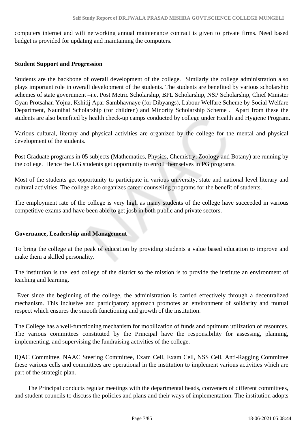computers internet and wifi networking annual maintenance contract is given to private firms. Need based budget is provided for updating and maintaining the computers.

#### **Student Support and Progression**

Students are the backbone of overall development of the college. Similarly the college administration also plays important role in overall development of the students. The students are benefited by various scholarship schemes of state government –i.e. Post Metric Scholarship, BPL Scholarship, NSP Scholarship, Chief Minister Gyan Protsahan Yojna, Kshitij Apar Sambhavnaye (for Dibyangs), Labour Welfare Scheme by Social Welfare Department, Naunihal Scholarship (for children) and Minority Scholarship Scheme . Apart from these the students are also benefited by health check-up camps conducted by college under Health and Hygiene Program.

Various cultural, literary and physical activities are organized by the college for the mental and physical development of the students.

Post Graduate programs in 05 subjects (Mathematics, Physics, Chemistry, Zoology and Botany) are running by the college. Hence the UG students get opportunity to enroll themselves in PG programs.

Most of the students get opportunity to participate in various university, state and national level literary and cultural activities. The college also organizes career counseling programs for the benefit of students.

The employment rate of the college is very high as many students of the college have succeeded in various competitive exams and have been able to get josb in both public and private sectors.

#### **Governance, Leadership and Management**

To bring the college at the peak of education by providing students a value based education to improve and make them a skilled personality.

The institution is the lead college of the district so the mission is to provide the institute an environment of teaching and learning.

 Ever since the beginning of the college, the administration is carried effectively through a decentralized mechanism. This inclusive and participatory approach promotes an environment of solidarity and mutual respect which ensures the smooth functioning and growth of the institution.

The College has a well-functioning mechanism for mobilization of funds and optimum utilization of resources. The various committees constituted by the Principal have the responsibility for assessing, planning, implementing, and supervising the fundraising activities of the college.

IQAC Committee, NAAC Steering Committee, Exam Cell, Exam Cell, NSS Cell, Anti-Ragging Committee these various cells and committees are operational in the institution to implement various activities which are part of the strategic plan.

 The Principal conducts regular meetings with the departmental heads, conveners of different committees, and student councils to discuss the policies and plans and their ways of implementation. The institution adopts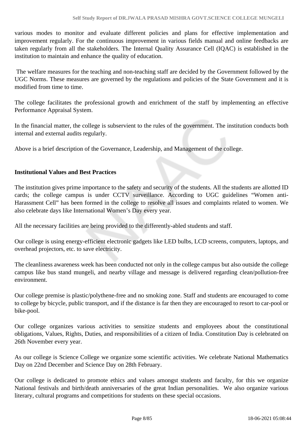various modes to monitor and evaluate different policies and plans for effective implementation and improvement regularly. For the continuous improvement in various fields manual and online feedbacks are taken regularly from all the stakeholders. The Internal Quality Assurance Cell (IQAC) is established in the institution to maintain and enhance the quality of education.

 The welfare measures for the teaching and non-teaching staff are decided by the Government followed by the UGC Norms. These measures are governed by the regulations and policies of the State Government and it is modified from time to time.

The college facilitates the professional growth and enrichment of the staff by implementing an effective Performance Appraisal System.

In the financial matter, the college is subservient to the rules of the government. The institution conducts both internal and external audits regularly.

Above is a brief description of the Governance, Leadership, and Management of the college.

#### **Institutional Values and Best Practices**

The institution gives prime importance to the safety and security of the students. All the students are allotted ID cards; the college campus is under CCTV surveillance. According to UGC guidelines "Women anti-Harassment Cell" has been formed in the college to resolve all issues and complaints related to women. We also celebrate days like International Women's Day every year.

All the necessary facilities are being provided to the differently-abled students and staff.

Our college is using energy-efficient electronic gadgets like LED bulbs, LCD screens, computers, laptops, and overhead projectors, etc. to save electricity.

The cleanliness awareness week has been conducted not only in the college campus but also outside the college campus like bus stand mungeli, and nearby village and message is delivered regarding clean/pollution-free environment.

Our college premise is plastic/polythene-free and no smoking zone. Staff and students are encouraged to come to college by bicycle, public transport, and if the distance is far then they are encouraged to resort to car-pool or bike-pool.

Our college organizes various activities to sensitize students and employees about the constitutional obligations, Values, Rights, Duties, and responsibilities of a citizen of India. Constitution Day is celebrated on 26th November every year.

As our college is Science College we organize some scientific activities. We celebrate National Mathematics Day on 22nd December and Science Day on 28th February.

Our college is dedicated to promote ethics and values amongst students and faculty, for this we organize National festivals and birth/death anniversaries of the great Indian personalities. We also organize various literary, cultural programs and competitions for students on these special occasions.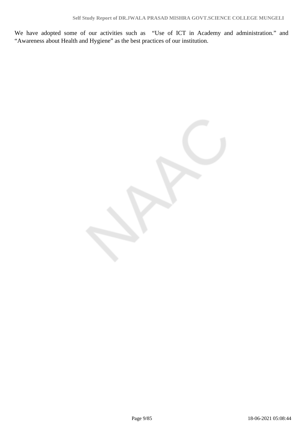We have adopted some of our activities such as "Use of ICT in Academy and administration." and "Awareness about Health and Hygiene" as the best practices of our institution.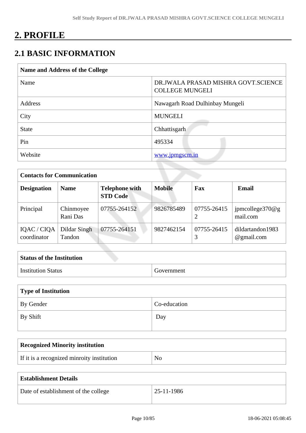# **2. PROFILE**

### **2.1 BASIC INFORMATION**

| Name and Address of the College |                                                               |
|---------------------------------|---------------------------------------------------------------|
| Name                            | DR.JWALA PRASAD MISHRA GOVT.SCIENCE<br><b>COLLEGE MUNGELI</b> |
| Address                         | Nawagarh Road Dulhinbay Mungeli                               |
| City                            | <b>MUNGELI</b>                                                |
| <b>State</b>                    | Chhattisgarh                                                  |
| Pin                             | 495334                                                        |
| Website                         | www.jpmgscm.in                                                |

| <b>Contacts for Communication</b> |                        |                                          |               |             |                                |  |
|-----------------------------------|------------------------|------------------------------------------|---------------|-------------|--------------------------------|--|
| <b>Designation</b>                | <b>Name</b>            | <b>Telephone with</b><br><b>STD Code</b> | <b>Mobile</b> | Fax         | Email                          |  |
| Principal                         | Chinmoyee<br>Rani Das  | 07755-264152                             | 9826785489    | 07755-26415 | ipmcollege370@g<br>mail.com    |  |
| IQAC / CIQA<br>coordinator        | Dildar Singh<br>Tandon | 07755-264151                             | 9827462154    | 07755-26415 | dildartandon1983<br>@gmail.com |  |

| <b>Status of the Institution</b> |            |
|----------------------------------|------------|
| <b>Institution Status</b>        | Government |

| Type of Institution |              |  |  |
|---------------------|--------------|--|--|
| By Gender           | Co-education |  |  |
| By Shift            | Day          |  |  |

| <b>Recognized Minority institution</b>     |  |
|--------------------------------------------|--|
| If it is a recognized minroity institution |  |

| <b>Establishment Details</b>         |                  |
|--------------------------------------|------------------|
| Date of establishment of the college | $25 - 11 - 1986$ |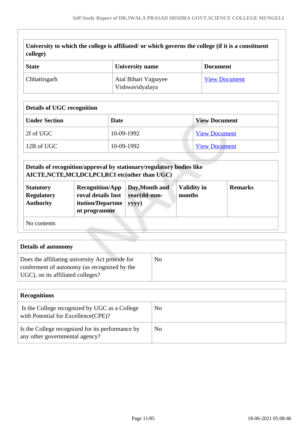| college)                          |                                         | University to which the college is affiliated/ or which governs the college (if it is a constituent |
|-----------------------------------|-----------------------------------------|-----------------------------------------------------------------------------------------------------|
| <b>State</b>                      | <b>University name</b>                  | <b>Document</b>                                                                                     |
| Chhattisgarh                      | Atal Bihari Vajpayee<br>Vishwavidyalaya | <b>View Document</b>                                                                                |
|                                   |                                         |                                                                                                     |
| <b>Details of UGC recognition</b> |                                         |                                                                                                     |
| <b>Under Section</b>              | Date                                    | <b>View Document</b>                                                                                |
| 2f of UGC                         | 10-09-1992                              | <b>View Document</b>                                                                                |

|                                                           | Details of recognition/approval by stationary/regulatory bodies like<br>AICTE, NCTE, MCI, DCI, PCI, RCI etc(other than UGC) |                                        |                              |                |
|-----------------------------------------------------------|-----------------------------------------------------------------------------------------------------------------------------|----------------------------------------|------------------------------|----------------|
| <b>Statutory</b><br><b>Regulatory</b><br><b>Authority</b> | <b>Recognition/App</b><br>roval details Inst<br>itution/Departme<br>nt programme                                            | Day, Month and<br>year(dd-mm-<br>yyyy) | <b>Validity in</b><br>months | <b>Remarks</b> |

| <b>Details of autonomy</b>                                                                                                           |    |
|--------------------------------------------------------------------------------------------------------------------------------------|----|
| Does the affiliating university Act provide for<br>conferment of autonomy (as recognized by the<br>UGC), on its affiliated colleges? | No |

| <b>Recognitions</b>                                                                   |     |  |  |
|---------------------------------------------------------------------------------------|-----|--|--|
| Is the College recognized by UGC as a College<br>with Potential for Excellence (CPE)? | No  |  |  |
| Is the College recognized for its performance by<br>any other governmental agency?    | No. |  |  |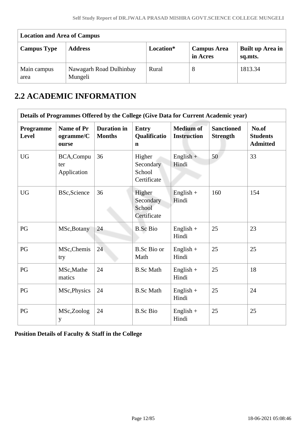| <b>Location and Area of Campus</b> |                                    |           |                                |                             |  |  |
|------------------------------------|------------------------------------|-----------|--------------------------------|-----------------------------|--|--|
| <b>Campus Type</b>                 | <b>Address</b>                     | Location* | <b>Campus Area</b><br>in Acres | Built up Area in<br>sq.mts. |  |  |
| Main campus<br>area                | Nawagarh Road Dulhinbay<br>Mungeli | Rural     | 8                              | 1813.34                     |  |  |

### **2.2 ACADEMIC INFORMATION**

| Details of Programmes Offered by the College (Give Data for Current Academic year) |                                  |                                     |                                              |                                        |                                      |                                             |
|------------------------------------------------------------------------------------|----------------------------------|-------------------------------------|----------------------------------------------|----------------------------------------|--------------------------------------|---------------------------------------------|
| Programme<br><b>Level</b>                                                          | Name of Pr<br>ogramme/C<br>ourse | <b>Duration</b> in<br><b>Months</b> | <b>Entry</b><br>Qualificatio<br>n            | <b>Medium of</b><br><b>Instruction</b> | <b>Sanctioned</b><br><b>Strength</b> | No.of<br><b>Students</b><br><b>Admitted</b> |
| <b>UG</b>                                                                          | BCA, Compu<br>ter<br>Application | 36                                  | Higher<br>Secondary<br>School<br>Certificate | $English +$<br>Hindi                   | 50                                   | 33                                          |
| <b>UG</b>                                                                          | <b>BSc, Science</b>              | 36                                  | Higher<br>Secondary<br>School<br>Certificate | $English +$<br>Hindi                   | 160                                  | 154                                         |
| PG                                                                                 | MSc, Botany                      | 24                                  | <b>B.Sc Bio</b>                              | $English +$<br>Hindi                   | 25                                   | 23                                          |
| PG                                                                                 | MSc, Chemis<br>try               | 24                                  | <b>B.Sc Bio or</b><br>Math                   | $English +$<br>Hindi                   | 25                                   | 25                                          |
| PG                                                                                 | MSc, Mathe<br>matics             | 24                                  | <b>B.Sc Math</b>                             | $English +$<br>Hindi                   | 25                                   | 18                                          |
| PG                                                                                 | MSc, Physics                     | 24                                  | <b>B.Sc Math</b>                             | English $+$<br>Hindi                   | 25                                   | 24                                          |
| PG                                                                                 | MSc,Zoolog<br>y                  | 24                                  | <b>B.Sc Bio</b>                              | $English +$<br>Hindi                   | 25                                   | 25                                          |

**Position Details of Faculty & Staff in the College**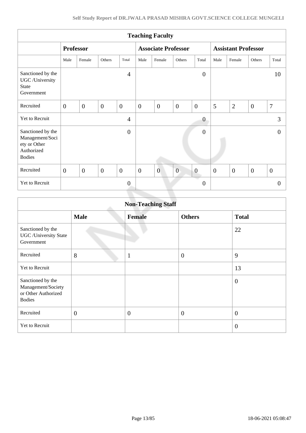| <b>Teaching Faculty</b>                                                             |                  |                  |                |                |                  |                            |                |                  |                            |                |                |                  |
|-------------------------------------------------------------------------------------|------------------|------------------|----------------|----------------|------------------|----------------------------|----------------|------------------|----------------------------|----------------|----------------|------------------|
|                                                                                     |                  | <b>Professor</b> |                |                |                  | <b>Associate Professor</b> |                |                  | <b>Assistant Professor</b> |                |                |                  |
|                                                                                     | Male             | Female           | <b>Others</b>  | Total          | Male             | Female                     | Others         | Total            | Male                       | Female         | <b>Others</b>  | Total            |
| Sanctioned by the<br>UGC /University<br>State<br>Government                         |                  |                  |                | $\overline{4}$ |                  |                            |                | $\boldsymbol{0}$ |                            |                |                | 10               |
| Recruited                                                                           | $\overline{0}$   | $\overline{0}$   | $\overline{0}$ | $\overline{0}$ | $\boldsymbol{0}$ | $\mathbf{0}$               | $\overline{0}$ | $\overline{0}$   | 5                          | $\overline{2}$ | $\overline{0}$ | $\overline{7}$   |
| Yet to Recruit                                                                      |                  |                  |                | $\overline{4}$ |                  |                            |                | $\boldsymbol{0}$ |                            |                |                | 3                |
| Sanctioned by the<br>Management/Soci<br>ety or Other<br>Authorized<br><b>Bodies</b> |                  |                  |                | $\overline{0}$ |                  |                            |                | $\boldsymbol{0}$ |                            |                |                | $\Omega$         |
| Recruited                                                                           | $\boldsymbol{0}$ | $\overline{0}$   | $\overline{0}$ | $\mathbf{0}$   | $\overline{0}$   | $\overline{0}$             | $\overline{0}$ | $\boldsymbol{0}$ | $\mathbf{0}$               | $\mathbf{0}$   | $\overline{0}$ | $\boldsymbol{0}$ |
| Yet to Recruit                                                                      |                  |                  |                | $\overline{0}$ |                  |                            |                | $\overline{0}$   |                            |                |                | $\theta$         |
|                                                                                     |                  |                  |                |                |                  |                            |                |                  |                            |                |                |                  |

|                                                                                 | <b>Non-Teaching Staff</b> |                |                |                |  |  |  |  |  |
|---------------------------------------------------------------------------------|---------------------------|----------------|----------------|----------------|--|--|--|--|--|
|                                                                                 | <b>Male</b>               | <b>Female</b>  | <b>Others</b>  | <b>Total</b>   |  |  |  |  |  |
| Sanctioned by the<br><b>UGC</b> / University State<br>Government                |                           |                |                | 22             |  |  |  |  |  |
| Recruited                                                                       | 8                         | $\mathbf{1}$   | $\overline{0}$ | 9              |  |  |  |  |  |
| Yet to Recruit                                                                  |                           |                |                | 13             |  |  |  |  |  |
| Sanctioned by the<br>Management/Society<br>or Other Authorized<br><b>Bodies</b> |                           |                |                | $\overline{0}$ |  |  |  |  |  |
| Recruited                                                                       | $\overline{0}$            | $\overline{0}$ | $\theta$       | $\overline{0}$ |  |  |  |  |  |
| Yet to Recruit                                                                  |                           |                |                | $\overline{0}$ |  |  |  |  |  |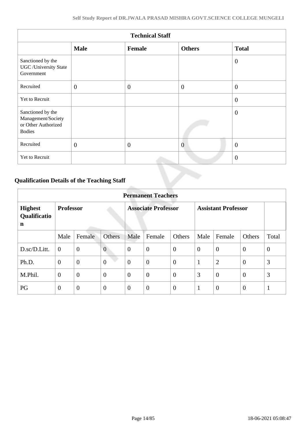|                                                                                 |              | <b>Technical Staff</b> |                |                |
|---------------------------------------------------------------------------------|--------------|------------------------|----------------|----------------|
|                                                                                 | <b>Male</b>  | Female                 | <b>Others</b>  | <b>Total</b>   |
| Sanctioned by the<br><b>UGC</b> /University State<br>Government                 |              |                        |                | $\overline{0}$ |
| Recruited                                                                       | $\mathbf{0}$ | $\theta$               | $\overline{0}$ | $\overline{0}$ |
| Yet to Recruit                                                                  |              |                        |                | $\overline{0}$ |
| Sanctioned by the<br>Management/Society<br>or Other Authorized<br><b>Bodies</b> |              |                        |                | $\overline{0}$ |
| Recruited                                                                       | $\mathbf{0}$ | $\mathbf{0}$           | $\overline{0}$ | $\overline{0}$ |
| Yet to Recruit                                                                  |              |                        |                | $\overline{0}$ |

### **Qualification Details of the Teaching Staff**

|                                     | <b>Permanent Teachers</b> |                |                |                            |                |                |                            |                |                |                |  |
|-------------------------------------|---------------------------|----------------|----------------|----------------------------|----------------|----------------|----------------------------|----------------|----------------|----------------|--|
| <b>Highest</b><br>Qualificatio<br>n | <b>Professor</b>          |                |                | <b>Associate Professor</b> |                |                | <b>Assistant Professor</b> |                |                |                |  |
|                                     | Male                      | Female         | <b>Others</b>  | Male                       | Female         | Others         | Male                       | Female         | Others         | Total          |  |
| D.sc/D.Litt.                        | $\overline{0}$            | $\mathbf{0}$   | $\overline{0}$ | $\theta$                   | $\overline{0}$ | $\overline{0}$ | $\overline{0}$             | $\theta$       | $\overline{0}$ | $\overline{0}$ |  |
| Ph.D.                               | $\overline{0}$            | $\overline{0}$ | $\overline{0}$ | $\overline{0}$             | $\overline{0}$ | $\overline{0}$ | 1                          | $\overline{2}$ | $\overline{0}$ | 3              |  |
| M.Phil.                             | $\overline{0}$            | $\mathbf{0}$   | $\overline{0}$ | $\theta$                   | $\overline{0}$ | $\overline{0}$ | 3                          | $\theta$       | $\overline{0}$ | 3              |  |
| PG                                  | $\theta$                  | $\overline{0}$ | $\overline{0}$ | $\overline{0}$             | $\overline{0}$ | $\overline{0}$ | $\mathbf{1}$               | $\theta$       | $\overline{0}$ | $\mathbf{1}$   |  |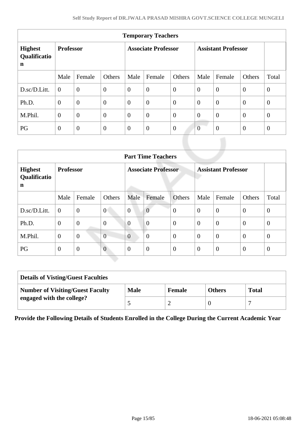| <b>Temporary Teachers</b>           |                  |                  |                  |                            |                  |                |                            |                |                |                |  |
|-------------------------------------|------------------|------------------|------------------|----------------------------|------------------|----------------|----------------------------|----------------|----------------|----------------|--|
| <b>Highest</b><br>Qualificatio<br>n | <b>Professor</b> |                  |                  | <b>Associate Professor</b> |                  |                | <b>Assistant Professor</b> |                |                |                |  |
|                                     | Male             | Female           | Others           | Male                       | Female           | Others         | Male                       | Female         | Others         | Total          |  |
| D.sc/D.Litt.                        | $\theta$         | $\overline{0}$   | $\overline{0}$   | $\overline{0}$             | $\overline{0}$   | $\overline{0}$ | $\overline{0}$             | $\overline{0}$ | $\overline{0}$ | $\overline{0}$ |  |
| Ph.D.                               | $\overline{0}$   | $\boldsymbol{0}$ | $\boldsymbol{0}$ | $\overline{0}$             | $\overline{0}$   | $\overline{0}$ | $\overline{0}$             | $\overline{0}$ | $\overline{0}$ | $\overline{0}$ |  |
| M.Phil.                             | $\overline{0}$   | $\overline{0}$   | $\overline{0}$   | $\overline{0}$             | $\overline{0}$   | $\overline{0}$ | $\overline{0}$             | $\overline{0}$ | $\overline{0}$ | $\overline{0}$ |  |
| PG                                  | $\overline{0}$   | $\theta$         | $\mathbf{0}$     | $\mathbf{0}$               | $\boldsymbol{0}$ | $\overline{0}$ | $\overline{0}$             | $\overline{0}$ | $\overline{0}$ | $\theta$       |  |

| <b>Part Time Teachers</b>           |                  |                |                  |                            |                |                  |                            |                |                |              |
|-------------------------------------|------------------|----------------|------------------|----------------------------|----------------|------------------|----------------------------|----------------|----------------|--------------|
| <b>Highest</b><br>Qualificatio<br>n | <b>Professor</b> |                |                  | <b>Associate Professor</b> |                |                  | <b>Assistant Professor</b> |                |                |              |
|                                     | Male             | Female         | Others           | Male                       | Female         | Others           | Male                       | Female         | Others         | Total        |
| D.sc/D.Litt.                        | $\overline{0}$   | $\overline{0}$ | $\overline{0}$   | $\overline{0}$             | $\overline{0}$ | $\boldsymbol{0}$ | $\theta$                   | $\overline{0}$ | $\theta$       | $\mathbf{0}$ |
| Ph.D.                               | $\mathbf{0}$     | $\overline{0}$ | $\boldsymbol{0}$ | $\overline{0}$             | $\overline{0}$ | $\overline{0}$   | $\overline{0}$             | $\overline{0}$ | $\overline{0}$ | $\theta$     |
| M.Phil.                             | $\theta$         | $\overline{0}$ | $\overline{0}$   | $\overline{0}$             | $\overline{0}$ | $\theta$         | $\theta$                   | $\overline{0}$ | $\overline{0}$ | $\theta$     |
| PG                                  | $\theta$         | $\mathbf{0}$   | $\overline{0}$   | $\overline{0}$             | $\overline{0}$ | $\overline{0}$   | $\boldsymbol{0}$           | $\overline{0}$ | $\overline{0}$ | $\theta$     |

| <b>Details of Visting/Guest Faculties</b> |             |               |               |              |  |  |  |  |
|-------------------------------------------|-------------|---------------|---------------|--------------|--|--|--|--|
| <b>Number of Visiting/Guest Faculty</b>   | <b>Male</b> | <b>Female</b> | <b>Others</b> | <b>Total</b> |  |  |  |  |
| engaged with the college?                 |             |               |               |              |  |  |  |  |

**Provide the Following Details of Students Enrolled in the College During the Current Academic Year**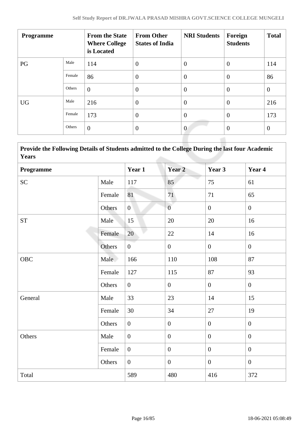| <b>Programme</b> |        | <b>From the State</b><br><b>Where College</b><br>is Located | <b>From Other</b><br><b>States of India</b> | <b>NRI Students</b> | Foreign<br><b>Students</b> | <b>Total</b>   |
|------------------|--------|-------------------------------------------------------------|---------------------------------------------|---------------------|----------------------------|----------------|
| PG               | Male   | 114                                                         | $\overline{0}$                              | $\overline{0}$      | $\overline{0}$             | 114            |
|                  | Female | 86                                                          | $\overline{0}$                              | $\overline{0}$      | $\overline{0}$             | 86             |
|                  | Others | $\overline{0}$                                              | $\overline{0}$                              | $\overline{0}$      | $\overline{0}$             | $\overline{0}$ |
| <b>UG</b>        | Male   | 216                                                         | $\overline{0}$                              | $\theta$            | $\overline{0}$             | 216            |
|                  | Female | 173                                                         | $\overline{0}$                              | $\overline{0}$      | $\overline{0}$             | 173            |
|                  | Others | $\overline{0}$                                              | $\overline{0}$                              | $\overline{0}$      | $\overline{0}$             | $\overline{0}$ |
|                  |        |                                                             |                                             |                     |                            |                |

 **Provide the Following Details of Students admitted to the College During the last four Academic Years**

| Programme          |        | Year 1           | Year 2           | Year 3           | Year 4           |
|--------------------|--------|------------------|------------------|------------------|------------------|
| <b>SC</b>          | Male   | 117              | 85               | 75               | 61               |
|                    | Female | 81               | 71               | 71               | 65               |
|                    | Others | $\overline{0}$   | $\overline{0}$   | $\overline{0}$   | $\boldsymbol{0}$ |
| ${\cal S}{\cal T}$ | Male   | 15               | 20               | 20               | 16               |
|                    | Female | 20               | $22\,$           | 14               | 16               |
|                    | Others | $\overline{0}$   | $\mathbf{0}$     | $\overline{0}$   | $\mathbf{0}$     |
| OBC                | Male   | 166              | 110              | 108              | 87               |
|                    | Female | 127              | 115              | 87               | 93               |
|                    | Others | $\overline{0}$   | $\mathbf{0}$     | $\overline{0}$   | $\mathbf{0}$     |
| General            | Male   | 33               | 23               | 14               | 15               |
|                    | Female | 30               | 34               | 27               | 19               |
|                    | Others | $\boldsymbol{0}$ | $\boldsymbol{0}$ | $\boldsymbol{0}$ | $\overline{0}$   |
| Others             | Male   | $\overline{0}$   | $\boldsymbol{0}$ | $\boldsymbol{0}$ | $\boldsymbol{0}$ |
|                    | Female | $\overline{0}$   | $\boldsymbol{0}$ | $\boldsymbol{0}$ | $\boldsymbol{0}$ |
|                    | Others | $\overline{0}$   | $\boldsymbol{0}$ | $\overline{0}$   | $\mathbf{0}$     |
| Total              |        | 589              | 480              | 416              | 372              |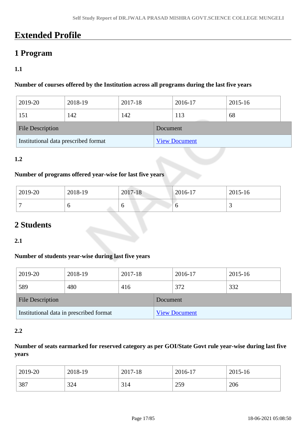### **Extended Profile**

### **1 Program**

#### **1.1**

#### **Number of courses offered by the Institution across all programs during the last five years**

| 2019-20                              | 2018-19 | 2017-18 |          | 2016-17              | 2015-16 |  |  |  |
|--------------------------------------|---------|---------|----------|----------------------|---------|--|--|--|
| 151                                  | 142     | 142     |          | 113                  | 68      |  |  |  |
| <b>File Description</b>              |         |         | Document |                      |         |  |  |  |
| Institutional data prescribed format |         |         |          | <b>View Document</b> |         |  |  |  |

#### **1.2**

#### **Number of programs offered year-wise for last five years**

| 2019-20 | 2018-19 | 2017-18 | $2016-17$ | 2015-16 |
|---------|---------|---------|-----------|---------|
|         | υ       | O       | υ         |         |

### **2 Students**

**2.1**

#### **Number of students year-wise during last five years**

| 2019-20                                 | 2018-19 | 2017-18 |                      | 2016-17 | 2015-16 |  |  |
|-----------------------------------------|---------|---------|----------------------|---------|---------|--|--|
| 589                                     | 480     | 416     |                      | 372     | 332     |  |  |
| <b>File Description</b>                 |         |         | Document             |         |         |  |  |
| Institutional data in prescribed format |         |         | <b>View Document</b> |         |         |  |  |

#### **2.2**

#### **Number of seats earmarked for reserved category as per GOI/State Govt rule year-wise during last five years**

| 2019-20 | 2018-19 | 2017-18 | 2016-17 | 2015-16 |
|---------|---------|---------|---------|---------|
| 387     | 324     | 314     | 259     | 206     |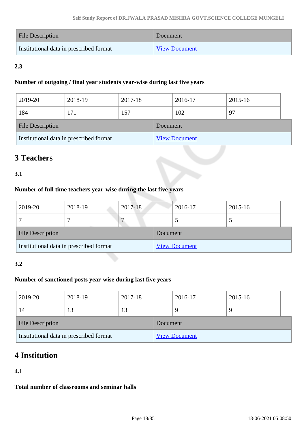| <b>File Description</b>                 | Document             |
|-----------------------------------------|----------------------|
| Institutional data in prescribed format | <b>View Document</b> |

#### **2.3**

#### **Number of outgoing / final year students year-wise during last five years**

| 2019-20                                 | 2018-19 | 2017-18  |  | 2016-17              | 2015-16 |  |
|-----------------------------------------|---------|----------|--|----------------------|---------|--|
| 184                                     | 171     | 157      |  | 102                  | 97      |  |
| <b>File Description</b>                 |         | Document |  |                      |         |  |
| Institutional data in prescribed format |         |          |  | <b>View Document</b> |         |  |

### **3 Teachers**

#### **3.1**

#### **Number of full time teachers year-wise during the last five years**

| 2019-20                                 | 2018-19 | 2017-18  |                      | 2016-17 | 2015-16 |  |
|-----------------------------------------|---------|----------|----------------------|---------|---------|--|
|                                         |         |          |                      |         | ت       |  |
| <b>File Description</b>                 |         | Document |                      |         |         |  |
| Institutional data in prescribed format |         |          | <b>View Document</b> |         |         |  |

#### **3.2**

#### **Number of sanctioned posts year-wise during last five years**

| 2019-20                                 | 2018-19 | 2017-18  |                      | 2016-17 | 2015-16 |
|-----------------------------------------|---------|----------|----------------------|---------|---------|
| 14                                      | 13      | 13       |                      |         | q       |
| <b>File Description</b>                 |         | Document |                      |         |         |
| Institutional data in prescribed format |         |          | <b>View Document</b> |         |         |

### **4 Institution**

#### **4.1**

**Total number of classrooms and seminar halls**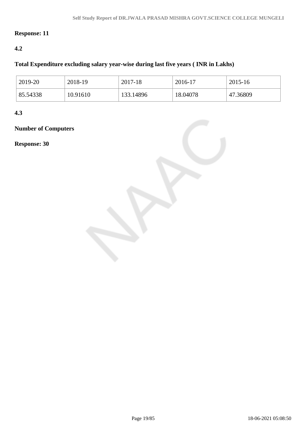#### **Response: 11**

#### **4.2**

#### **Total Expenditure excluding salary year-wise during last five years ( INR in Lakhs)**

| 2019-20  | 2018-19  | 2017-18   | 2016-17  | 2015-16  |
|----------|----------|-----------|----------|----------|
| 85.54338 | 10.91610 | 133.14896 | 18.04078 | 47.36809 |

**4.3**

#### **Number of Computers**

**Response: 30**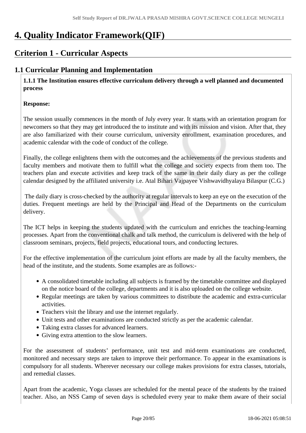# **4. Quality Indicator Framework(QIF)**

### **Criterion 1 - Curricular Aspects**

### **1.1 Curricular Planning and Implementation**

 **1.1.1 The Institution ensures effective curriculum delivery through a well planned and documented process**

#### **Response:**

The session usually commences in the month of July every year. It starts with an orientation program for newcomers so that they may get introduced the to institute and with its mission and vision. After that, they are also familiarized with their course curriculum, university enrollment, examination procedures, and academic calendar with the code of conduct of the college.

Finally, the college enlightens them with the outcomes and the achievements of the previous students and faculty members and motivate them to fulfill what the college and society expects from them too. The teachers plan and execute activities and keep track of the same in their daily diary as per the college calendar designed by the affiliated university i.e. Atal Bihari Vajpayee Vishwavidhyalaya Bilaspur (C.G.)

 The daily diary is cross-checked by the authority at regular intervals to keep an eye on the execution of the duties. Frequent meetings are held by the Principal and Head of the Departments on the curriculum delivery.

The ICT helps in keeping the students updated with the curriculum and enriches the teaching-learning processes. Apart from the conventional chalk and talk method, the curriculum is delivered with the help of classroom seminars, projects, field projects, educational tours, and conducting lectures.

For the effective implementation of the curriculum joint efforts are made by all the faculty members, the head of the institute, and the students. Some examples are as follows:-

- A consolidated timetable including all subjects is framed by the timetable committee and displayed on the notice board of the college, departments and it is also uploaded on the college website.
- Regular meetings are taken by various committees to distribute the academic and extra-curricular activities.
- Teachers visit the library and use the internet regularly.
- Unit tests and other examinations are conducted strictly as per the academic calendar.
- Taking extra classes for advanced learners.
- Giving extra attention to the slow learners.

For the assessment of students' performance, unit test and mid-term examinations are conducted, monitored and necessary steps are taken to improve their performance. To appear in the examinations is compulsory for all students. Wherever necessary our college makes provisions for extra classes, tutorials, and remedial classes.

Apart from the academic, Yoga classes are scheduled for the mental peace of the students by the trained teacher. Also, an NSS Camp of seven days is scheduled every year to make them aware of their social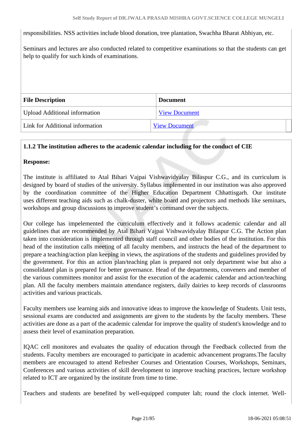responsibilities. NSS activities include blood donation, tree plantation, Swachha Bharat Abhiyan, etc.

Seminars and lectures are also conducted related to competitive examinations so that the students can get help to qualify for such kinds of examinations.

| <b>File Description</b>              | <b>Document</b>      |
|--------------------------------------|----------------------|
| <b>Upload Additional information</b> | <b>View Document</b> |
| Link for Additional information      | <b>View Document</b> |

#### **1.1.2 The institution adheres to the academic calendar including for the conduct of CIE**

#### **Response:**

The institute is affiliated to Atal Bihari Vajpai Vishwavidyalay Bilaspur C.G., and its curriculum is designed by board of studies of the university. Syllabus implemented in our institution was also approved by the coordination committee of the Higher Education Department Chhattisgarh. Our institute uses different teaching aids such as chalk-duster, white board and projectors and methods like seminars, workshops and group discussions to improve student's command over the subjects.

Our college has impelemented the curriculum effectively and it follows academic calendar and all guidelines that are recommended by Atal Bihari Vajpai Vishwavidyalay Bilaspur C.G. The Action plan taken into consideration is implemented through staff council and other bodies of the institution. For this head of the institution calls meeting of all faculty members, and instructs the head of the department to prepare a teaching/action plan keeping in views, the aspirations of the students and guidelines provided by the government. For this an action plan/teaching plan is prepared not only department wise but also a consolidated plan is prepared for better governance. Head of the departments, conveners and member of the various committees monitor and assist for the execution of the academic calendar and action/teaching plan. All the faculty members maintain attendance registers, daily dairies to keep records of classrooms activities and various practicals.

Faculty members use learning aids and innovative ideas to improve the knowledge of Students. Unit tests, sessional exams are conducted and assignments are given to the students by the faculty members. These activities are done as a part of the academic calendar for improve the quality of student's knowledge and to assess their level of examination preparation.

IQAC cell monitores and evaluates the quality of education through the Feedback collected from the students. Faculty members are encouraged to participate in academic advancement programs.The faculty members are encouraged to attend Refresher Courses and Orientation Courses, Workshops, Seminars, Conferences and various activities of skill development to improve teaching practices, lecture workshop related to ICT are organized by the institute from time to time.

Teachers and students are benefited by well-equipped computer lab; round the clock internet. Well-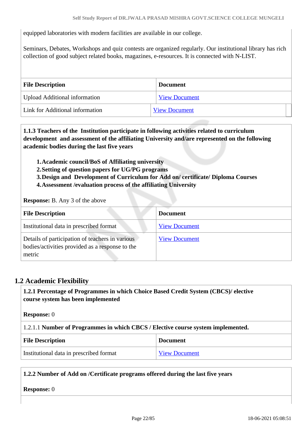equipped laboratories with modern facilities are available in our college.

Seminars, Debates, Workshops and quiz contests are organized regularly. Our institutional library has rich collection of good subject related books, magazines, e-resources. It is connected with N-LIST.

| <b>File Description</b>              | <b>Document</b>      |
|--------------------------------------|----------------------|
| <b>Upload Additional information</b> | <b>View Document</b> |
| Link for Additional information      | <b>View Document</b> |

 **1.1.3 Teachers of the Institution participate in following activities related to curriculum development and assessment of the affiliating University and/are represented on the following academic bodies during the last five years** 

**1.Academic council/BoS of Affiliating university**

**2.Setting of question papers for UG/PG programs** 

- **3.Design and Development of Curriculum for Add on/ certificate/ Diploma Courses**
- **4.Assessment /evaluation process of the affiliating University**

**Response:** B. Any 3 of the above

| <b>File Description</b>                                                                                      | <b>Document</b>      |
|--------------------------------------------------------------------------------------------------------------|----------------------|
| Institutional data in prescribed format                                                                      | <b>View Document</b> |
| Details of participation of teachers in various<br>bodies/activities provided as a response to the<br>metric | <b>View Document</b> |

#### **1.2 Academic Flexibility**

 **1.2.1 Percentage of Programmes in which Choice Based Credit System (CBCS)/ elective course system has been implemented** 

**Response:** 0

| $\mid$ 1.2.1.1 Number of Programmes in which CBCS / Elective course system implemented. |                      |  |
|-----------------------------------------------------------------------------------------|----------------------|--|
| <b>File Description</b>                                                                 | <b>Document</b>      |  |
| Institutional data in prescribed format                                                 | <b>View Document</b> |  |

#### **1.2.2 Number of Add on /Certificate programs offered during the last five years**

#### **Response:** 0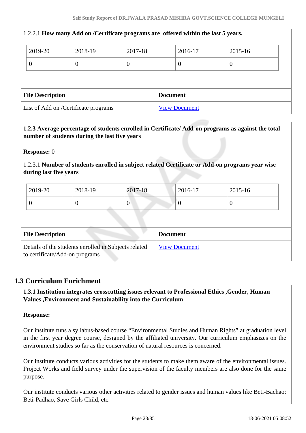# 2019-20 2018-19 2017-18 2016-17 2015-16  $0$  0 0 0 0 **File Description Document** List of Add on /Certificate programs [View Document](https://assessmentonline.naac.gov.in/storage/app/hei/SSR/106398/1.2.2_1621853343_6156.xlsx)

#### 1.2.2.1 **How many Add on /Certificate programs are offered within the last 5 years.**

#### **1.2.3 Average percentage of students enrolled in Certificate/ Add-on programs as against the total number of students during the last five years**

**Response:** 0

1.2.3.1 **Number of students enrolled in subject related Certificate or Add-on programs year wise during last five years**

| 2019-20 | 2018-19 | 2017-18 | 2016-17 | 2015-16 |
|---------|---------|---------|---------|---------|
| ◡       |         | ◡       | v       |         |

| <b>File Description</b>                                                                | <b>Document</b>      |
|----------------------------------------------------------------------------------------|----------------------|
| Details of the students enrolled in Subjects related<br>to certificate/Add-on programs | <b>View Document</b> |

#### **1.3 Curriculum Enrichment**

 **1.3.1 Institution integrates crosscutting issues relevant to Professional Ethics ,Gender, Human Values ,Environment and Sustainability into the Curriculum**

#### **Response:**

Our institute runs a syllabus-based course "Environmental Studies and Human Rights" at graduation level in the first year degree course, designed by the affiliated university. Our curriculum emphasizes on the environment studies so far as the conservation of natural resources is concerned.

Our institute conducts various activities for the students to make them aware of the environmental issues. Project Works and field survey under the supervision of the faculty members are also done for the same purpose.

Our institute conducts various other activities related to gender issues and human values like Beti-Bachao; Beti-Padhao, Save Girls Child, etc.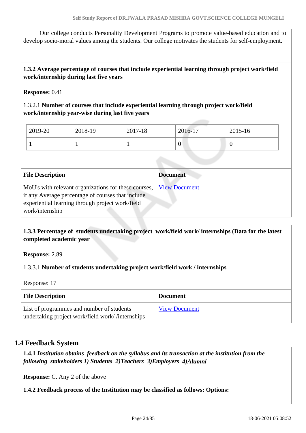Our college conducts Personality Development Programs to promote value-based education and to develop socio-moral values among the students. Our college motivates the students for self-employment.

#### **1.3.2 Average percentage of courses that include experiential learning through project work/field work/internship during last five years**

#### **Response:** 0.41

#### 1.3.2.1 **Number of courses that include experiential learning through project work/field work/internship year-wise during last five years**

| 2019-20 | 2018-19 | 2017-18 | 2016-17 | 2015-16 |
|---------|---------|---------|---------|---------|
|         |         |         | v       | ν       |

| <b>File Description</b>                                                                                                                                                                               | <b>Document</b> |
|-------------------------------------------------------------------------------------------------------------------------------------------------------------------------------------------------------|-----------------|
| MoU's with relevant organizations for these courses, <u>View Document</u><br>if any Average percentage of courses that include<br>experiential learning through project work/field<br>work/internship |                 |

#### **1.3.3 Percentage of students undertaking project work/field work/ internships (Data for the latest completed academic year**

**Response:** 2.89

#### 1.3.3.1 **Number of students undertaking project work/field work / internships**

Response: 17

| <b>File Description</b>                                                                       | <b>Document</b>      |
|-----------------------------------------------------------------------------------------------|----------------------|
| List of programmes and number of students<br>undertaking project work/field work//internships | <b>View Document</b> |

#### **1.4 Feedback System**

 **1.4.1** *Institution obtains feedback on the syllabus and its transaction at the institution from the following stakeholders 1) Students 2)Teachers 3)Employers 4)Alumni* 

**Response:** C. Any 2 of the above

**1.4.2 Feedback process of the Institution may be classified as follows: Options:**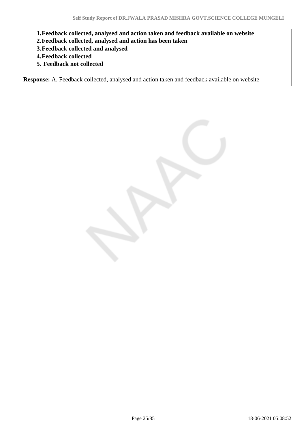- **1.Feedback collected, analysed and action taken and feedback available on website**
- **2.Feedback collected, analysed and action has been taken**
- **3.Feedback collected and analysed**
- **4.Feedback collected**
- **5. Feedback not collected**

**Response:** A. Feedback collected, analysed and action taken and feedback available on website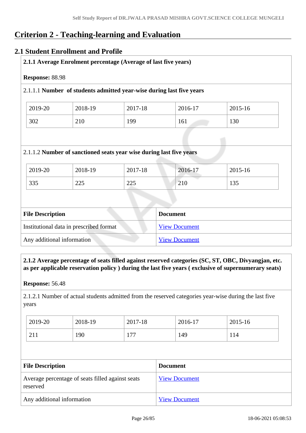### **Criterion 2 - Teaching-learning and Evaluation**

#### **2.1 Student Enrollment and Profile**

| Response: 88.98 |         |                                                                      |         |         |
|-----------------|---------|----------------------------------------------------------------------|---------|---------|
|                 |         | 2.1.1.1 Number of students admitted year-wise during last five years |         |         |
| 2019-20         | 2018-19 | 2017-18                                                              | 2016-17 | 2015-16 |
|                 |         |                                                                      |         |         |
| 302             | 210     | 199                                                                  | 161     | 130     |
|                 |         | 2.1.1.2 Number of sanctioned seats year wise during last five years  |         |         |
| 2019-20         | 2018-19 | 2017-18                                                              | 2016-17 | 2015-16 |

| ----------------                        |                      |
|-----------------------------------------|----------------------|
| Institutional data in prescribed format | View Document        |
| Any additional information              | <b>View Document</b> |

 **2.1.2 Average percentage of seats filled against reserved categories (SC, ST, OBC, Divyangjan, etc. as per applicable reservation policy ) during the last five years ( exclusive of supernumerary seats)**

**Response:** 56.48

2.1.2.1 Number of actual students admitted from the reserved categories year-wise during the last five years

| 2019-20 | 2018-19 | 2017-18 | 2016-17 | 2015-16 |
|---------|---------|---------|---------|---------|
| 211     | 190     | 177     | 149     | 14      |

| <b>File Description</b>                                      | <b>Document</b>      |
|--------------------------------------------------------------|----------------------|
| Average percentage of seats filled against seats<br>reserved | <b>View Document</b> |
| Any additional information                                   | <b>View Document</b> |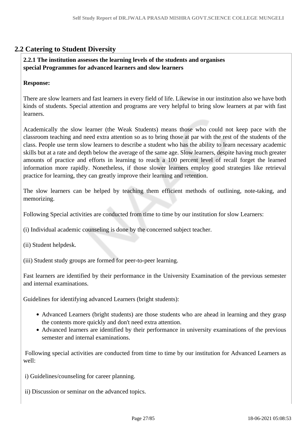#### **2.2 Catering to Student Diversity**

#### **2.2.1 The institution assesses the learning levels of the students and organises special Programmes for advanced learners and slow learners**

#### **Response:**

There are slow learners and fast learners in every field of life. Likewise in our institution also we have both kinds of students. Special attention and programs are very helpful to bring slow learners at par with fast learners.

Academically the slow learner (the Weak Students) means those who could not keep pace with the classroom teaching and need extra attention so as to bring those at par with the rest of the students of the class. People use term slow learners to describe a student who has the ability to learn necessary academic skills but at a rate and depth below the average of the same age. Slow learners, despite having much greater amounts of practice and efforts in learning to reach a 100 percent level of recall forget the learned information more rapidly. Nonetheless, if those slower learners employ good strategies like retrieval practice for learning, they can greatly improve their learning and retention.

The slow learners can be helped by teaching them efficient methods of outlining, note-taking, and memorizing.

Following Special activities are conducted from time to time by our institution for slow Learners:

(i) Individual academic counseling is done by the concerned subject teacher.

(ii) Student helpdesk.

(iii) Student study groups are formed for peer-to-peer learning.

Fast learners are identified by their performance in the University Examination of the previous semester and internal examinations.

Guidelines for identifying advanced Learners (bright students):

- Advanced Learners (bright students) are those students who are ahead in learning and they grasp the contents more quickly and don't need extra attention.
- Advanced learners are identified by their performance in university examinations of the previous semester and internal examinations.

 Following special activities are conducted from time to time by our institution for Advanced Learners as well:

i) Guidelines/counseling for career planning.

ii) Discussion or seminar on the advanced topics.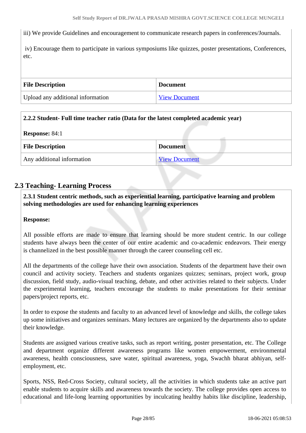iii) We provide Guidelines and encouragement to communicate research papers in conferences/Journals.

 iv) Encourage them to participate in various symposiums like quizzes, poster presentations, Conferences, etc.

| <b>File Description</b>           | <b>Document</b>      |
|-----------------------------------|----------------------|
| Upload any additional information | <b>View Document</b> |

#### **2.2.2 Student- Full time teacher ratio (Data for the latest completed academic year)**

| <b>Response: 84:1</b>      |                      |  |
|----------------------------|----------------------|--|
| <b>File Description</b>    | <b>Document</b>      |  |
| Any additional information | <b>View Document</b> |  |

#### **2.3 Teaching- Learning Process**

 **2.3.1 Student centric methods, such as experiential learning, participative learning and problem solving methodologies are used for enhancing learning experiences**

#### **Response:**

All possible efforts are made to ensure that learning should be more student centric. In our college students have always been the center of our entire academic and co-academic endeavors. Their energy is channelized in the best possible manner through the career counseling cell etc.

All the departments of the college have their own association. Students of the department have their own council and activity society. Teachers and students organizes quizzes; seminars, project work, group discussion, field study, audio-visual teaching, debate, and other activities related to their subjects. Under the experimental learning, teachers encourage the students to make presentations for their seminar papers/project reports, etc.

In order to expose the students and faculty to an advanced level of knowledge and skills, the college takes up some initiatives and organizes seminars. Many lectures are organized by the departments also to update their knowledge.

Students are assigned various creative tasks, such as report writing, poster presentation, etc. The College and department organize different awareness programs like women empowerment, environmental awareness, health consciousness, save water, spiritual awareness, yoga, Swachh bharat abhiyan, selfemployment, etc.

Sports, NSS, Red-Cross Society, cultural society, all the activities in which students take an active part enable students to acquire skills and awareness towards the society. The college provides open access to educational and life-long learning opportunities by inculcating healthy habits like discipline, leadership,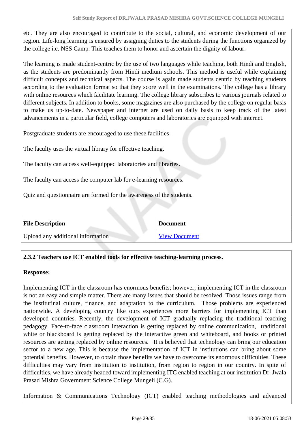etc. They are also encouraged to contribute to the social, cultural, and economic development of our region. Life-long learning is ensured by assigning duties to the students during the functions organized by the college i.e. NSS Camp. This teaches them to honor and ascertain the dignity of labour.

The learning is made student-centric by the use of two languages while teaching, both Hindi and English, as the students are predominantly from Hindi medium schools. This method is useful while explaining difficult concepts and technical aspects. The course is again made students centric by teaching students according to the evaluation format so that they score well in the examinations. The college has a library with online resources which facilitate learning. The college library subscribes to various journals related to different subjects. In addition to books, some magazines are also purchased by the college on regular basis to make us up-to-date. Newspaper and internet are used on daily basis to keep track of the latest advancements in a particular field, college computers and laboratories are equipped with internet.

Postgraduate students are encouraged to use these facilities-

The faculty uses the virtual library for effective teaching.

The faculty can access well-equipped laboratories and libraries.

The faculty can access the computer lab for e-learning resources.

Quiz and questionnaire are formed for the awareness of the students.

| <b>File Description</b>           | <b>Document</b>      |
|-----------------------------------|----------------------|
| Upload any additional information | <b>View Document</b> |

#### **2.3.2 Teachers use ICT enabled tools for effective teaching-learning process.**

#### **Response:**

Implementing ICT in the classroom has enormous benefits; however, implementing ICT in the classroom is not an easy and simple matter. There are many issues that should be resolved. Those issues range from the institutinal culture, finance, and adaptation to the curriculum. Those problems are experienced nationwide. A developing country like ours experiences more barriers for implementing ICT than developed countries. Recently, the development of ICT gradually replacing the traditional teaching pedagogy. Face-to-face classroom interaction is getting replaced by online communication, traditional white or blackboard is getting replaced by the interactive green and whiteboard, and books or printed resources are getting replaced by online resources. It is believed that technology can bring our education sector to a new age. This is because the implementation of ICT in institutions can bring about some potential benefits. However, to obtain those benefits we have to overcome its enormous difficulties. These difficulties may vary from institution to institution, from region to region in our country. In spite of difficulties, we have already headed toward implementing ITC enabled teaching at our institution Dr. Jwala Prasad Mishra Government Science College Mungeli (C.G).

Information & Communications Technology (ICT) enabled teaching methodologies and advanced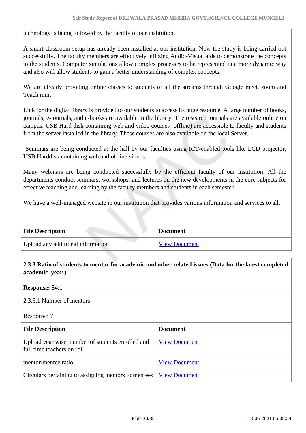technology is being followed by the faculty of our institution.

A smart classroom setup has already been installed at our institution. Now the study is being carried out successfully. The faculty members are effectively utilizing Audio-Visual aids to demonstrate the concepts to the students. Computer simulations allow complex processes to be represented in a more dynamic way and also will allow students to gain a better understanding of complex concepts.

We are already providing online classes to students of all the streams through Google meet, zoom and Teach mint.

Link for the digital library is provided to our students to access its huge resource. A large number of books, journals, e-journals, and e-books are available in the library. The research journals are available online on campus. USB Hard disk containing web and video courses (offline) are accessible to faculty and students from the server installed in the library. These courses are also available on the local Server.

 Seminars are being conducted at the hall by our faculties using ICT-enabled tools like LCD projector, USB Harddisk containing web and offline videos.

Many webinars are being conducted successfully by the efficient faculty of our institution. All the departments conduct seminars, workshops, and lectures on the new developments in the core subjects for effective teaching and learning by the faculty members and students in each semester.

We have a well-managed website in our institution that provides various information and services to all.

| <b>File Description</b>           | <b>Document</b>      |
|-----------------------------------|----------------------|
| Upload any additional information | <b>View Document</b> |

 **2.3.3 Ratio of students to mentor for academic and other related issues (Data for the latest completed academic year )**

**Response:** 84:1

2.3.3.1 Number of mentors

Response: 7

| <b>File Description</b>                                                          | <b>Document</b>      |
|----------------------------------------------------------------------------------|----------------------|
| Upload year wise, number of students enrolled and<br>full time teachers on roll. | <b>View Document</b> |
| mentor/mentee ratio                                                              | <b>View Document</b> |
| Circulars pertaining to assigning mentors to mentees   <u>View Document</u>      |                      |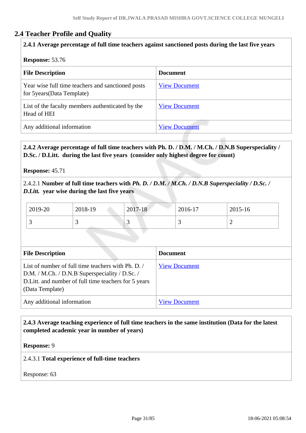#### **2.4 Teacher Profile and Quality**

#### **2.4.1 Average percentage of full time teachers against sanctioned posts during the last five years**

#### **Response:** 53.76

| <b>File Description</b>                                                          | <b>Document</b>      |
|----------------------------------------------------------------------------------|----------------------|
| Year wise full time teachers and sanctioned posts<br>for 5 years (Data Template) | <b>View Document</b> |
| List of the faculty members authenticated by the<br>Head of HEI                  | <b>View Document</b> |
| Any additional information                                                       | <b>View Document</b> |

#### **2.4.2 Average percentage of full time teachers with Ph. D. / D.M. / M.Ch. / D.N.B Superspeciality / D.Sc. / D.Litt. during the last five years (consider only highest degree for count)**

**Response:** 45.71

2.4.2.1 **Number of full time teachers with** *Ph. D. / D.M. / M.Ch. / D.N.B Superspeciality / D.Sc. / D.Litt.* **year wise during the last five years**

| 2019-20  | 2018-19 | 2017-18 | 2016-17  | 2015-16 |
|----------|---------|---------|----------|---------|
| <b>~</b> |         |         | <u>ب</u> |         |

| <b>File Description</b>                                                                                                                                                        | <b>Document</b>      |
|--------------------------------------------------------------------------------------------------------------------------------------------------------------------------------|----------------------|
| List of number of full time teachers with Ph. D.<br>D.M. / M.Ch. / D.N.B Superspeciality / D.Sc. /<br>D. Litt. and number of full time teachers for 5 years<br>(Data Template) | <b>View Document</b> |
| Any additional information                                                                                                                                                     | <b>View Document</b> |

#### **2.4.3 Average teaching experience of full time teachers in the same institution (Data for the latest completed academic year in number of years)**

#### **Response:** 9

#### 2.4.3.1 **Total experience of full-time teachers**

Response: 63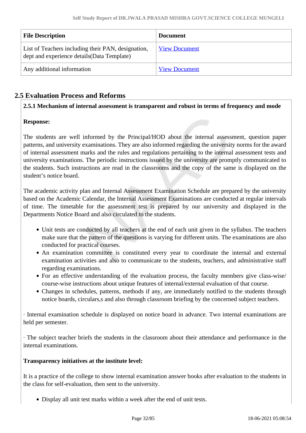| <b>File Description</b>                                                                           | <b>Document</b>      |
|---------------------------------------------------------------------------------------------------|----------------------|
| List of Teachers including their PAN, designation,<br>dept and experience details (Data Template) | <b>View Document</b> |
| Any additional information                                                                        | <b>View Document</b> |

#### **2.5 Evaluation Process and Reforms**

**2.5.1 Mechanism of internal assessment is transparent and robust in terms of frequency and mode**

#### **Response:**

The students are well informed by the Principal/HOD about the internal assessment, question paper patterns, and university examinations. They are also informed regarding the university norms for the award of internal assessment marks and the rules and regulations pertaining to the internal assessment tests and university examinations. The periodic instructions issued by the university are promptly communicated to the students. Such instructions are read in the classrooms and the copy of the same is displayed on the student's notice board.

The academic activity plan and Internal Assessment Examination Schedule are prepared by the university based on the Academic Calendar, the Internal Assessment Examinations are conducted at regular intervals of time. The timetable for the assessment test is prepared by our university and displayed in the Departments Notice Board and also circulated to the students.

- Unit tests are conducted by all teachers at the end of each unit given in the syllabus. The teachers make sure that the pattern of the questions is varying for different units. The examinations are also conducted for practical courses.
- An examination committee is constituted every year to coordinate the internal and external examination activities and also to communicate to the students, teachers, and administrative staff regarding examinations.
- For an effective understanding of the evaluation process, the faculty members give class-wise/ course-wise instructions about unique features of internal/external evaluation of that course.
- Changes in schedules, patterns, methods if any, are immediately notified to the students through notice boards, circulars,s and also through classroom briefing by the concerned subject teachers.

· Internal examination schedule is displayed on notice board in advance. Two internal examinations are held per semester.

· The subject teacher briefs the students in the classroom about their attendance and performance in the internal examinations.

#### **Transparency initiatives at the institute level:**

It is a practice of the college to show internal examination answer books after evaluation to the students in the class for self-evaluation, then sent to the university.

Display all unit test marks within a week after the end of unit tests.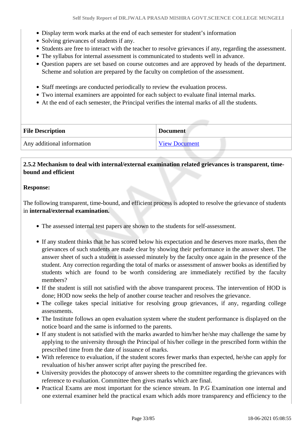- Display term work marks at the end of each semester for student's information
- Solving grievances of students if any.
- Students are free to interact with the teacher to resolve grievances if any, regarding the assessment.
- The syllabus for internal assessment is communicated to students well in advance.
- Question papers are set based on course outcomes and are approved by heads of the department. Scheme and solution are prepared by the faculty on completion of the assessment.
- Staff meetings are conducted periodically to review the evaluation process.
- Two internal examiners are appointed for each subject to evaluate final internal marks.
- At the end of each semester, the Principal verifies the internal marks of all the students.

| <b>File Description</b>    | <b>Document</b>      |
|----------------------------|----------------------|
| Any additional information | <b>View Document</b> |

#### **2.5.2 Mechanism to deal with internal/external examination related grievances is transparent, timebound and efficient**

#### **Response:**

The following transparent, time-bound, and efficient process is adopted to resolve the grievance of students in **internal/external examination.**

- The assessed internal test papers are shown to the students for self-assessment.
- If any student thinks that he has scored below his expectation and he deserves more marks, then the grievances of such students are made clear by showing their performance in the answer sheet. The answer sheet of such a student is assessed minutely by the faculty once again in the presence of the student. Any correction regarding the total of marks or assessment of answer books as identified by students which are found to be worth considering are immediately rectified by the faculty members?
- If the student is still not satisfied with the above transparent process. The intervention of HOD is done; HOD now seeks the help of another course teacher and resolves the grievance.
- The college takes special initiative for resolving group grievances, if any, regarding college assessments.
- The Institute follows an open evaluation system where the student performance is displayed on the notice board and the same is informed to the parents.
- If any student is not satisfied with the marks awarded to him/her he/she may challenge the same by applying to the university through the Principal of his/her college in the prescribed form within the prescribed time from the date of issuance of marks.
- With reference to evaluation, if the student scores fewer marks than expected, he/she can apply for revaluation of his/her answer script after paying the prescribed fee.
- University provides the photocopy of answer sheets to the committee regarding the grievances with reference to evaluation. Committee then gives marks which are final.
- Practical Exams are most important for the science stream. In P.G Examination one internal and one external examiner held the practical exam which adds more transparency and efficiency to the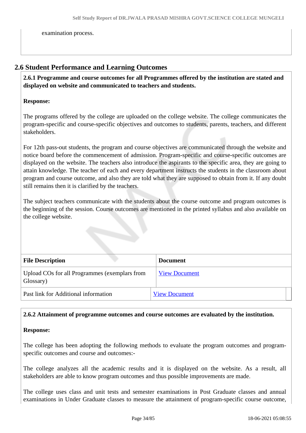examination process.

#### **2.6 Student Performance and Learning Outcomes**

 **2.6.1 Programme and course outcomes for all Programmes offered by the institution are stated and displayed on website and communicated to teachers and students.**

#### **Response:**

The programs offered by the college are uploaded on the college website. The college communicates the program-specific and course-specific objectives and outcomes to students, parents, teachers, and different stakeholders.

For 12th pass-out students, the program and course objectives are communicated through the website and notice board before the commencement of admission. Program-specific and course-specific outcomes are displayed on the website. The teachers also introduce the aspirants to the specific area, they are going to attain knowledge. The teacher of each and every department instructs the students in the classroom about program and course outcome, and also they are told what they are supposed to obtain from it. If any doubt still remains then it is clarified by the teachers.

The subject teachers communicate with the students about the course outcome and program outcomes is the beginning of the session. Course outcomes are mentioned in the printed syllabus and also available on the college website.

| <b>File Description</b>                                    | <b>Document</b>      |
|------------------------------------------------------------|----------------------|
| Upload COs for all Programmes (exemplars from<br>Glossary) | <b>View Document</b> |
| Past link for Additional information                       | <b>View Document</b> |

#### **2.6.2 Attainment of programme outcomes and course outcomes are evaluated by the institution.**

#### **Response:**

The college has been adopting the following methods to evaluate the program outcomes and programspecific outcomes and course and outcomes:-

The college analyzes all the academic results and it is displayed on the website. As a result, all stakeholders are able to know program outcomes and thus possible improvements are made.

The college uses class and unit tests and semester examinations in Post Graduate classes and annual examinations in Under Graduate classes to measure the attainment of program-specific course outcome,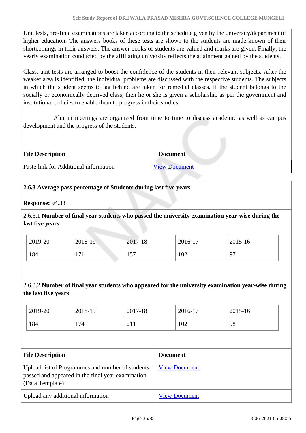Unit tests, pre-final examinations are taken according to the schedule given by the university/department of higher education. The answers books of these tests are shown to the students are made known of their shortcomings in their answers. The answer books of students are valued and marks are given. Finally, the yearly examination conducted by the affiliating university reflects the attainment gained by the students.

Class, unit tests are arranged to boost the confidence of the students in their relevant subjects. After the weaker area is identified, the individual problems are discussed with the respective students. The subjects in which the student seems to lag behind are taken for remedial classes. If the student belongs to the socially or economically deprived class, then he or she is given a scholarship as per the government and institutional policies to enable them to progress in their studies.

 Alumni meetings are organized from time to time to discuss academic as well as campus development and the progress of the students.

| <b>File Description</b>               | <b>Document</b>      |
|---------------------------------------|----------------------|
| Paste link for Additional information | <b>View Document</b> |

#### **2.6.3 Average pass percentage of Students during last five years**

#### **Response:** 94.33

2.6.3.1 **Number of final year students who passed the university examination year-wise during the last five years**

| 2019-20 | $2018 - 19$ | $2017-18$    | 2016-17 | 2015-16  |
|---------|-------------|--------------|---------|----------|
| 184     | $-1$<br>171 | .57<br>1 J J | 102     | $\Omega$ |

2.6.3.2 **Number of final year students who appeared for the university examination year-wise during the last five years**

| 2019-20 | 2018-19 | 2017-18    | 2016-17 | 2015-16 |
|---------|---------|------------|---------|---------|
| 184     | 174     | 211<br>211 | 102     | 98      |

| <b>File Description</b>                                                                                                  | <b>Document</b>      |
|--------------------------------------------------------------------------------------------------------------------------|----------------------|
| Upload list of Programmes and number of students<br>passed and appeared in the final year examination<br>(Data Template) | <b>View Document</b> |
| Upload any additional information                                                                                        | <b>View Document</b> |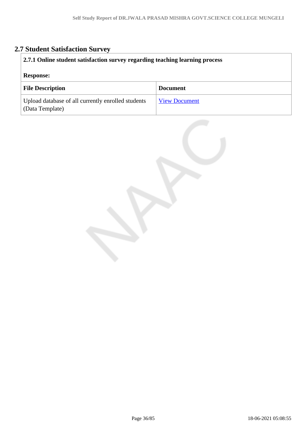### **2.7 Student Satisfaction Survey**

| 2.7.1 Online student satisfaction survey regarding teaching learning process |                      |  |  |
|------------------------------------------------------------------------------|----------------------|--|--|
| <b>Response:</b>                                                             |                      |  |  |
| <b>File Description</b>                                                      | <b>Document</b>      |  |  |
| Upload database of all currently enrolled students<br>(Data Template)        | <b>View Document</b> |  |  |

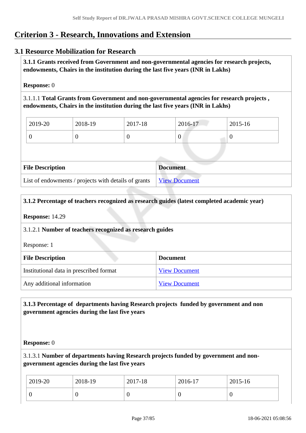# **Criterion 3 - Research, Innovations and Extension**

## **3.1 Resource Mobilization for Research**

 **3.1.1 Grants received from Government and non-governmental agencies for research projects, endowments, Chairs in the institution during the last five years (INR in Lakhs)** 

**Response:** 0

3.1.1.1 **Total Grants from Government and non-governmental agencies for research projects , endowments, Chairs in the institution during the last five years (INR in Lakhs)**

| 2019-20 | 2018-19 | 2017-18 | 2016-17 | $2015 - 16$ |
|---------|---------|---------|---------|-------------|
|         |         |         | v       | ν           |

| <b>File Description</b>                                            | <b>Document</b> |
|--------------------------------------------------------------------|-----------------|
| List of endowments / projects with details of grants View Document |                 |

### **3.1.2 Percentage of teachers recognized as research guides (latest completed academic year)**

### **Response:** 14.29

### 3.1.2.1 **Number of teachers recognized as research guides**

Response: 1

| <b>File Description</b>                 | <b>Document</b>      |
|-----------------------------------------|----------------------|
| Institutional data in prescribed format | <b>View Document</b> |
| Any additional information              | <b>View Document</b> |

## **3.1.3 Percentage of departments having Research projects funded by government and non government agencies during the last five years**

**Response:** 0

3.1.3.1 **Number of departments having Research projects funded by government and nongovernment agencies during the last five years**

| 2019-20 | 2018-19 | 2017-18 | 2016-17 | 2015-16 |
|---------|---------|---------|---------|---------|
|         | ν       | υ       |         | ◡       |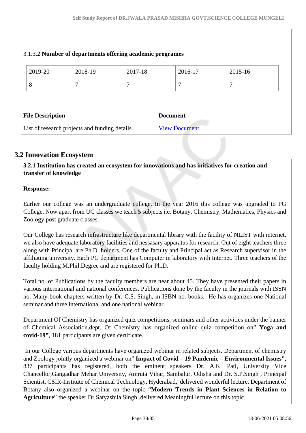|                         | 3.1.3.2 Number of departments offering academic programes |                                               |                 |  |                      |         |  |
|-------------------------|-----------------------------------------------------------|-----------------------------------------------|-----------------|--|----------------------|---------|--|
|                         | 2019-20                                                   | 2018-19                                       | 2017-18         |  | 2016-17              | 2015-16 |  |
|                         | 8                                                         | ⇁                                             | 7               |  |                      |         |  |
|                         |                                                           |                                               |                 |  |                      |         |  |
| <b>File Description</b> |                                                           |                                               | <b>Document</b> |  |                      |         |  |
|                         |                                                           | List of research projects and funding details |                 |  | <b>View Document</b> |         |  |

## **3.2 Innovation Ecosystem**

 **3.2.1 Institution has created an ecosystem for innovations and has initiatives for creation and transfer of knowledge**

## **Response:**

Earlier our college was an undergraduate college. In the year 2016 this college was upgraded to PG College. Now apart from UG classes we teach 5 subjects i.e. Botany, Chemistry, Mathematics, Physics and Zoology post graduate classes.

Our College has research infrastructure like departmental library with the facility of NLIST with internet, we also have adequate laboratory facilities and nessasary apparatus for research. Out of eight teachers three along with Principal are Ph.D. holders. One of the faculty and Principal act as Research supervisor in the affiliating university. Each PG department has Computer in laboratory with Internet. Three teachers of the faculty holding M.Phil.Degree and are registered for Ph.D.

Total no. of Publications by the faculty members are near about 45. They have presented their papers in various international and national conferences. Publications done by the faculty in the journals with ISSN no. Many book chapters written by Dr. C.S. Singh, in ISBN no. books. He has organizes one National seminar and three international and one national webinar.

Department Of Chemistry has organized quiz competitions, seminars and other activities under the banner of Chemical Association.dept. Of Chemistry has organized online quiz competition on" **Yoga and covid-19"**, 181 participants are given certificate.

 In our College various departments have organized webinar in related subjects. Department of chemistry and Zoology jointly organized a webinar on" **Impact of Covid – 19 Pandemic – Environmental Issues",** 837 participants has registered, both the eminent speakers Dr. A.K. Pati, University Vice Chancellor,Gangadhar Mehar University, Amruta Vihar, Sambalur, Odisha and Dr. S.P.Singh , Principal Scientist, CSIR-Institute of Chemical Technology, Hyderabad, delivered wonderful lecture. Department of Botany also organized a webinar on the topic "**Modern Trends in Plant Sciences in Relation to Agriculture**" the speaker Dr.Satyashila Singh .delivered Meaningful lecture on this topic.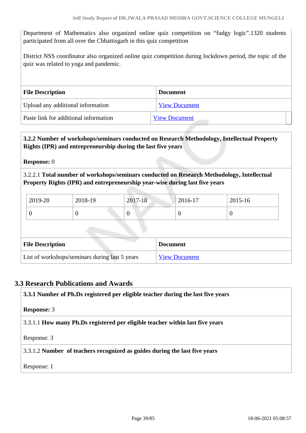Department of Mathematics also organized online quiz competition on "fudgy logic".1320 students participated from all over the Chhattisgarh in this quiz competition

District NSS coordinator also organized online quiz competition during lockdown period, the topic of the quiz was related to yoga and pandemic.

| <b>File Description</b>               | <b>Document</b>      |
|---------------------------------------|----------------------|
| Upload any additional information     | <b>View Document</b> |
| Paste link for additional information | <b>View Document</b> |

## **3.2.2 Number of workshops/seminars conducted on Research Methodology, Intellectual Property Rights (IPR) and entrepreneurship during the last five years**

#### **Response:** 0

3.2.2.1 **Total number of workshops/seminars conducted on Research Methodology, Intellectual Property Rights (IPR) and entrepreneurship year-wise during last five years** 

| 2019-20                                        | 2018-19 | $2017 - 18$    |  | 2016-17              | 2015-16          |  |
|------------------------------------------------|---------|----------------|--|----------------------|------------------|--|
| $\theta$                                       | 0       | $\overline{0}$ |  | $\theta$             | $\boldsymbol{0}$ |  |
|                                                |         |                |  |                      |                  |  |
| <b>File Description</b>                        |         |                |  | <b>Document</b>      |                  |  |
| List of workshops/seminars during last 5 years |         |                |  | <b>View Document</b> |                  |  |

### **3.3 Research Publications and Awards**

**3.3.1 Number of Ph.Ds registered per eligible teacher during the last five years**

#### **Response:** 3

3.3.1.1 **How many Ph.Ds registered per eligible teacher within last five years**

Response: 3

3.3.1.2 **Number of teachers recognized as guides during the last five years**

Response: 1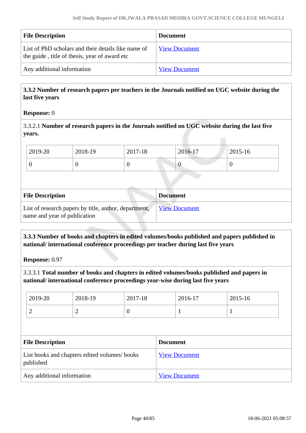| <b>File Description</b>                                                                              | Document             |
|------------------------------------------------------------------------------------------------------|----------------------|
| List of PhD scholars and their details like name of<br>the guide, title of thesis, year of award etc | <b>View Document</b> |
| Any additional information                                                                           | <b>View Document</b> |

## **3.3.2 Number of research papers per teachers in the Journals notified on UGC website during the last five years**

### **Response:** 0

3.3.2.1 **Number of research papers in the Journals notified on UGC website during the last five years.**

| 2019-20 | 2018-19 | 2017-18 | 2016-17     | 2015-16 |
|---------|---------|---------|-------------|---------|
|         | ν       |         | $\mathbf v$ | ν       |

| <b>File Description</b>                                                               | <b>Document</b>      |
|---------------------------------------------------------------------------------------|----------------------|
| List of research papers by title, author, department,<br>name and year of publication | <b>View Document</b> |

 **3.3.3 Number of books and chapters in edited volumes/books published and papers published in national/ international conference proceedings per teacher during last five years**

**Response:** 0.97

3.3.3.1 **Total number of books and chapters in edited volumes/books published and papers in national/ international conference proceedings year-wise during last five years**

| 2019-20                 | 2018-19                                      | 2017-18  |                 | 2016-17              | 2015-16 |  |
|-------------------------|----------------------------------------------|----------|-----------------|----------------------|---------|--|
| $\overline{2}$          | 2                                            | $\theta$ |                 |                      | 1       |  |
|                         |                                              |          |                 |                      |         |  |
| <b>File Description</b> |                                              |          |                 |                      |         |  |
|                         |                                              |          | <b>Document</b> |                      |         |  |
| published               | List books and chapters edited volumes/books |          |                 | <b>View Document</b> |         |  |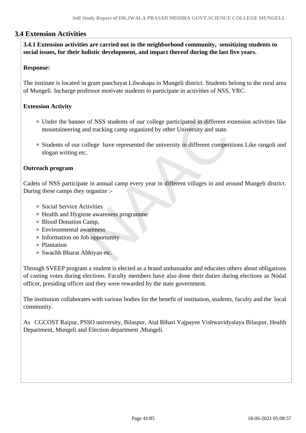## **3.4 Extension Activities**

 **3.4.1 Extension activities are carried out in the neighborhood community, sensitizing students to social issues, for their holistic development, and impact thereof during the last five years.**

### **Response:**

The institute is located in gram panchayat Lilwakapa in Mungeli district. Students belong to the rural area of Mungeli. Incharge professor motivate students to participate in activities of NSS, YRC.

### **Extension Activity**

- Under the banner of NSS students of our college participated in different extension activities like mountaineering and tracking camp organized by other University and state.
- Students of our college have represented the university in different competitions Like rangoli and slogan writing etc.

#### **Outreach program**

Cadets of NSS participate in annual camp every year in different villages in and around Mungeli district. During these camps they organize :-

- Social Service Activities
- Health and Hygiene awareness programme
- Blood Donation Camp,
- Environmental awareness
- Information on Job opportunity
- Plantation
- Swachh Bharat Abhiyan etc.

Through SVEEP program a student is elected as a brand ambassador and educates others about obligations of casting votes during elections. Faculty members have also done their duties during elections as Nodal officer, presiding officer and they were rewarded by the state government.

The institution collaborates with various bodies for the benefit of institution, students, faculty and the local community.

As CGCOST Raipur, PSSO university, Bilaspur, Atal Bihari Vajpayee Vishwavidyalaya Bilaspur, Health Department, Mungeli and Election department ,Mungeli.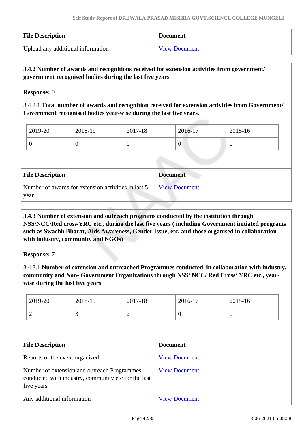| <b>File Description</b>           | <b>Document</b>      |
|-----------------------------------|----------------------|
| Upload any additional information | <b>View Document</b> |

## **3.4.2 Number of awards and recognitions received for extension activities from government/ government recognised bodies during the last five years**

**Response:** 0

3.4.2.1 **Total number of awards and recognition received for extension activities from Government/ Government recognised bodies year-wise during the last five years.**

| 2019-20 | 2018-19 | 2017-18 | 2016-17          | 2015-16 |
|---------|---------|---------|------------------|---------|
|         | U       |         | $\boldsymbol{0}$ |         |

| <b>File Description</b>                                     | <b>Document</b>      |
|-------------------------------------------------------------|----------------------|
| Number of awards for extension activities in last 5<br>year | <b>View Document</b> |

 **3.4.3 Number of extension and outreach programs conducted by the institution through NSS/NCC/Red cross/YRC etc., during the last five years ( including Government initiated programs such as Swachh Bharat, Aids Awareness, Gender Issue, etc. and those organised in collaboration with industry, community and NGOs)**

**Response:** 7

3.4.3.1 **Number of extension and outreached Programmes conducted in collaboration with industry, community and Non- Government Organizations through NSS/ NCC/ Red Cross/ YRC etc., yearwise during the last five years**

| 2019-20                                                                                                          | 2018-19 | 2017-18        |                      | 2016-17        | 2015-16        |
|------------------------------------------------------------------------------------------------------------------|---------|----------------|----------------------|----------------|----------------|
| $\overline{2}$                                                                                                   | 3       | $\overline{2}$ |                      | $\overline{0}$ | $\overline{0}$ |
|                                                                                                                  |         |                |                      |                |                |
| <b>File Description</b>                                                                                          |         |                | <b>Document</b>      |                |                |
| Reports of the event organized                                                                                   |         |                | <b>View Document</b> |                |                |
| Number of extension and outreach Programmes<br>conducted with industry, community etc for the last<br>five years |         |                | <b>View Document</b> |                |                |
| Any additional information                                                                                       |         |                | <b>View Document</b> |                |                |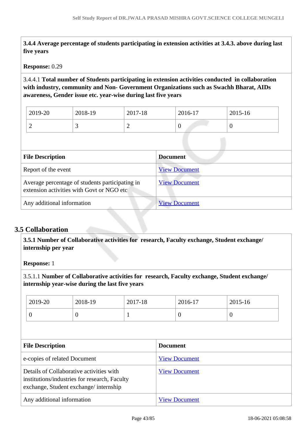**3.4.4 Average percentage of students participating in extension activities at 3.4.3. above during last five years**

#### **Response:** 0.29

3.4.4.1 **Total number of Students participating in extension activities conducted in collaboration with industry, community and Non- Government Organizations such as Swachh Bharat, AIDs awareness, Gender issue etc. year-wise during last five years**

| 2019-20 | 2018-19 | 2017-18 | 2016-17 | 2015-16 |
|---------|---------|---------|---------|---------|
| ∸       | ັ       | -       |         |         |

| <b>File Description</b>                                                                      | <b>Document</b>      |
|----------------------------------------------------------------------------------------------|----------------------|
| Report of the event                                                                          | <b>View Document</b> |
| Average percentage of students participating in<br>extension activities with Govt or NGO etc | <b>View Document</b> |
| Any additional information                                                                   | <b>View Document</b> |

### **3.5 Collaboration**

 **3.5.1 Number of Collaborative activities for research, Faculty exchange, Student exchange/ internship per year**

**Response:** 1

3.5.1.1 **Number of Collaborative activities for research, Faculty exchange, Student exchange/ internship year-wise during the last five years**

|                                                                                                                                    | 2019-20          | 2018-19              | 2017-18              |                      | 2016-17  | 2015-16  |  |
|------------------------------------------------------------------------------------------------------------------------------------|------------------|----------------------|----------------------|----------------------|----------|----------|--|
|                                                                                                                                    | $\boldsymbol{0}$ | $\boldsymbol{0}$     |                      |                      | $\theta$ | $\theta$ |  |
|                                                                                                                                    |                  |                      |                      |                      |          |          |  |
| <b>File Description</b>                                                                                                            |                  |                      | <b>Document</b>      |                      |          |          |  |
| e-copies of related Document                                                                                                       |                  |                      | <b>View Document</b> |                      |          |          |  |
| Details of Collaborative activities with<br>institutions/industries for research, Faculty<br>exchange, Student exchange/internship |                  | <b>View Document</b> |                      |                      |          |          |  |
| Any additional information                                                                                                         |                  |                      |                      | <b>View Document</b> |          |          |  |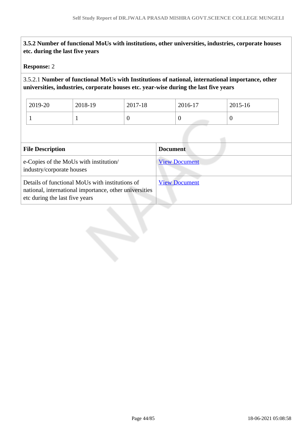**3.5.2 Number of functional MoUs with institutions, other universities, industries, corporate houses etc. during the last five years** 

### **Response:** 2

3.5.2.1 **Number of functional MoUs with Institutions of national, international importance, other universities, industries, corporate houses etc. year-wise during the last five years**

| 2019-20 | 2018-19 | 2017-18 | 2016-17 | $2015 - 16$ |
|---------|---------|---------|---------|-------------|
|         |         | ν       | U       | ν           |

| <b>File Description</b>                                                                                                                     | <b>Document</b>      |
|---------------------------------------------------------------------------------------------------------------------------------------------|----------------------|
| e-Copies of the MoUs with institution/<br>industry/corporate houses                                                                         | <b>View Document</b> |
| Details of functional MoUs with institutions of<br>national, international importance, other universities<br>etc during the last five years | <b>View Document</b> |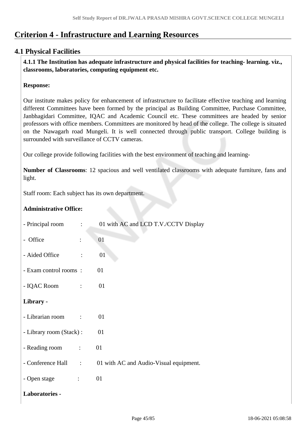# **Criterion 4 - Infrastructure and Learning Resources**

## **4.1 Physical Facilities**

 **4.1.1 The Institution has adequate infrastructure and physical facilities for teaching- learning. viz., classrooms, laboratories, computing equipment etc.** 

### **Response:**

Our institute makes policy for enhancement of infrastructure to facilitate effective teaching and learning different Committees have been formed by the principal as Building Committee, Purchase Committee, Janbhagidari Committee, IQAC and Academic Council etc. These committees are headed by senior professors with office members. Committees are monitored by head of the college. The college is situated on the Nawagarh road Mungeli. It is well connected through public transport. College building is surrounded with surveillance of CCTV cameras.

Our college provide following facilities with the best environment of teaching and learning-

**Number of Classrooms**: 12 spacious and well ventilated classrooms with adequate furniture, fans and light.

Staff room: Each subject has its own department.

## **Administrative Office:**

| - Principal room        |                | 01 with AC and LCD T.V./CCTV Display   |
|-------------------------|----------------|----------------------------------------|
| - Office                | $\ddot{\cdot}$ | 01                                     |
| - Aided Office          | $\ddot{\cdot}$ | 01                                     |
| - Exam control rooms:   |                | 01                                     |
| - IQAC Room             | $\ddot{\cdot}$ | 01                                     |
| Library -               |                |                                        |
| - Librarian room        | $\ddot{\cdot}$ | 01                                     |
| - Library room (Stack): |                | 01                                     |
| - Reading room          | $\ddot{\cdot}$ | 01                                     |
| - Conference Hall       | $\mathbb{R}^2$ | 01 with AC and Audio-Visual equipment. |
| - Open stage            | ÷              | 01                                     |
| Laboratories -          |                |                                        |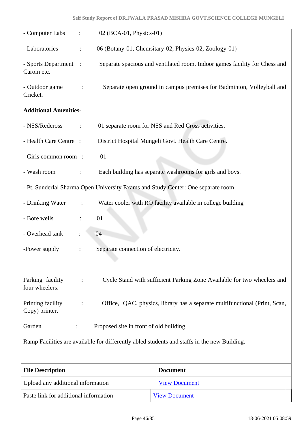| - Computer Labs                                                                              | $\ddot{\cdot}$ | 02 (BCA-01, Physics-01)                                                     |                                                                                  |  |
|----------------------------------------------------------------------------------------------|----------------|-----------------------------------------------------------------------------|----------------------------------------------------------------------------------|--|
| - Laboratories                                                                               | $\ddot{\cdot}$ |                                                                             | 06 (Botany-01, Chemsitary-02, Physics-02, Zoology-01)                            |  |
| - Sports Department :<br>Carom etc.                                                          |                |                                                                             | Separate spacious and ventilated room, Indoor games facility for Chess and       |  |
| - Outdoor game<br>Cricket.                                                                   |                |                                                                             | Separate open ground in campus premises for Badminton, Volleyball and            |  |
| <b>Additional Amenities-</b>                                                                 |                |                                                                             |                                                                                  |  |
| - NSS/Redcross                                                                               | $\ddot{\cdot}$ |                                                                             | 01 separate room for NSS and Red Cross activities.                               |  |
| - Health Care Centre :                                                                       |                |                                                                             | District Hospital Mungeli Govt. Health Care Centre.                              |  |
| - Girls common room :                                                                        |                | 01                                                                          |                                                                                  |  |
| - Wash room                                                                                  | $\ddot{\cdot}$ |                                                                             | Each building has separate washrooms for girls and boys.                         |  |
|                                                                                              |                |                                                                             | - Pt. Sunderlal Sharma Open University Exams and Study Center: One separate room |  |
| - Drinking Water                                                                             | $\ddot{\cdot}$ | Water cooler with RO facility available in college building                 |                                                                                  |  |
| - Bore wells                                                                                 | $\ddot{\cdot}$ | 01                                                                          |                                                                                  |  |
| - Overhead tank                                                                              |                | 04                                                                          |                                                                                  |  |
| -Power supply                                                                                |                | Separate connection of electricity.                                         |                                                                                  |  |
| Parking facility<br>four wheelers.                                                           |                |                                                                             | Cycle Stand with sufficient Parking Zone Available for two wheelers and          |  |
| Printing facility<br>Copy) printer.                                                          |                | Office, IQAC, physics, library has a separate multifunctional (Print, Scan, |                                                                                  |  |
| Garden<br>Proposed site in front of old building.                                            |                |                                                                             |                                                                                  |  |
| Ramp Facilities are available for differently abled students and staffs in the new Building. |                |                                                                             |                                                                                  |  |
| <b>File Description</b>                                                                      |                |                                                                             | <b>Document</b>                                                                  |  |
| Upload any additional information                                                            |                |                                                                             | <b>View Document</b>                                                             |  |
| Paste link for additional information                                                        |                |                                                                             | <b>View Document</b>                                                             |  |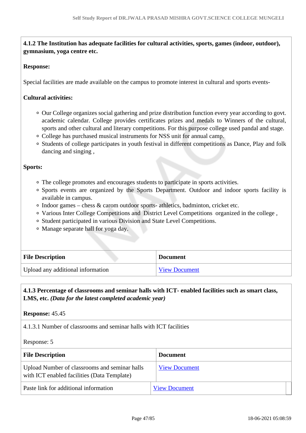**4.1.2 The Institution has adequate facilities for cultural activities, sports, games (indoor, outdoor), gymnasium, yoga centre etc.** 

### **Response:**

Special facilities are made available on the campus to promote interest in cultural and sports events-

### **Cultural activities:**

- Our College organizes social gathering and prize distribution function every year according to govt. academic calendar. College provides certificates prizes and medals to Winners of the cultural, sports and other cultural and literary competitions. For this purpose college used pandal and stage.
- College has purchased musical instruments for NSS unit for annual camp.
- Students of college participates in youth festival in different competitions as Dance, Play and folk dancing and singing ,

#### **Sports:**

- The college promotes and encourages students to participate in sports activities.
- Sports events are organized by the Sports Department. Outdoor and indoor sports facility is available in campus.
- $\circ$  Indoor games chess & carom outdoor sports- athletics, badminton, cricket etc.
- Various Inter College Competitions and District Level Competitions organized in the college ,
- Student participated in various Division and State Level Competitions.
- Manage separate hall for yoga day.

| <b>File Description</b>           | <b>Document</b>      |
|-----------------------------------|----------------------|
| Upload any additional information | <b>View Document</b> |

## **4.1.3 Percentage of classrooms and seminar halls with ICT- enabled facilities such as smart class, LMS, etc.** *(Data for the latest completed academic year)*

**Response:** 45.45

4.1.3.1 Number of classrooms and seminar halls with ICT facilities

Response: 5

| <b>File Description</b>                                                                      | <b>Document</b>      |
|----------------------------------------------------------------------------------------------|----------------------|
| Upload Number of classrooms and seminar halls<br>with ICT enabled facilities (Data Template) | <b>View Document</b> |
| Paste link for additional information                                                        | <b>View Document</b> |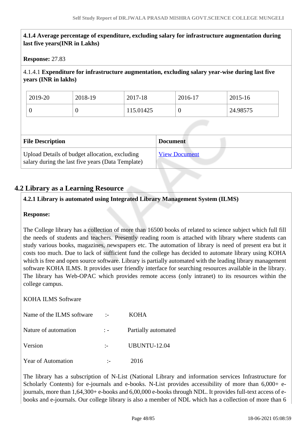| Response: 27.83      |          |           |                |                                                                                                  |
|----------------------|----------|-----------|----------------|--------------------------------------------------------------------------------------------------|
| years (INR in lakhs) |          |           |                | 4.1.4.1 Expenditure for infrastructure augmentation, excluding salary year-wise during last five |
| 2019-20              | 2018-19  | 2017-18   | 2016-17        | $2015 - 16$                                                                                      |
| $\theta$             | $\Omega$ | 115.01425 | $\overline{0}$ | 24.98575                                                                                         |
|                      |          |           |                |                                                                                                  |

## **4.2 Library as a Learning Resource**

## **4.2.1 Library is automated using Integrated Library Management System (ILMS)**

### **Response:**

The College library has a collection of more than 16500 books of related to science subject which full fill the needs of students and teachers. Presently reading room is attached with library where students can study various books, magazines, newspapers etc. The automation of library is need of present era but it costs too much. Due to lack of sufficient fund the college has decided to automate library using KOHA which is free and open source software. Library is partially automated with the leading library management software KOHA ILMS. It provides user friendly interface for searching resources available in the library. The library has Web-OPAC which provides remote access (only intranet) to its resources within the college campus.

### KOHA ILMS Software

| Name of the ILMS software | $\cdot$ .     | <b>KOHA</b>         |
|---------------------------|---------------|---------------------|
| Nature of automation      | $2 - 1$       | Partially automated |
| Version                   | $\mathcal{L}$ | <b>UBUNTU-12.04</b> |
| <b>Year of Automation</b> |               | 2016                |

The library has a subscription of N-List (National Library and information services Infrastructure for Scholarly Contents) for e-journals and e-books. N-List provides accessibility of more than 6,000+ ejournals, more than 1,64,300+ e-books and 6,00,000 e-books through NDL. It provides full-text access of ebooks and e-journals. Our college library is also a member of NDL which has a collection of more than 6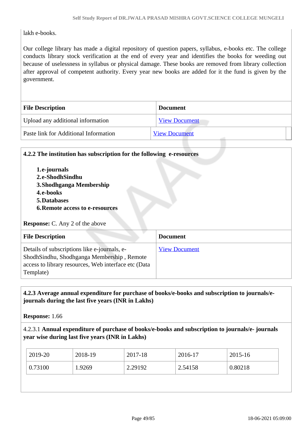lakh e-books.

Our college library has made a digital repository of question papers, syllabus, e-books etc. The college conducts library stock verification at the end of every year and identifies the books for weeding out because of uselessness in syllabus or physical damage. These books are removed from library collection after approval of competent authority. Every year new books are added for it the fund is given by the government.

| <b>File Description</b>               | <b>Document</b>      |  |
|---------------------------------------|----------------------|--|
| Upload any additional information     | <b>View Document</b> |  |
| Paste link for Additional Information | <b>View Document</b> |  |

|                                        | 4.2.2 The institution has subscription for the following e-resources |
|----------------------------------------|----------------------------------------------------------------------|
| 1.e-journals<br>2.e-ShodhSindhu        |                                                                      |
| 3. Shodhganga Membership               |                                                                      |
| 4.e-books<br><b>5. Databases</b>       |                                                                      |
| <b>6. Remote access to e-resources</b> |                                                                      |
|                                        |                                                                      |
| <b>Response:</b> C. Any 2 of the above |                                                                      |
| <b>File Description</b>                | <b>Document</b>                                                      |

## **4.2.3 Average annual expenditure for purchase of books/e-books and subscription to journals/ejournals during the last five years (INR in Lakhs)**

**Response:** 1.66

4.2.3.1 **Annual expenditure of purchase of books/e-books and subscription to journals/e- journals year wise during last five years (INR in Lakhs)**

| 2019-20 | 2018-19 | 2017-18 | 2016-17 | 2015-16 |
|---------|---------|---------|---------|---------|
| 0.73100 | 1.9269  | 2.29192 | 2.54158 | 0.80218 |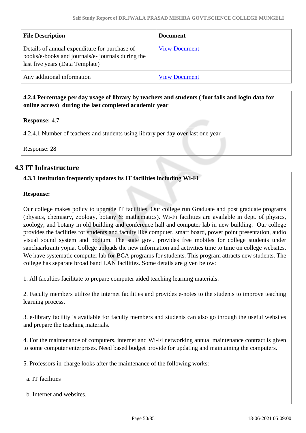| <b>File Description</b>                                                                                                               | Document             |
|---------------------------------------------------------------------------------------------------------------------------------------|----------------------|
| Details of annual expenditure for purchase of<br>books/e-books and journals/e- journals during the<br>last five years (Data Template) | <b>View Document</b> |
| Any additional information                                                                                                            | <b>View Document</b> |

## **4.2.4 Percentage per day usage of library by teachers and students ( foot falls and login data for online access) during the last completed academic year**

## **Response:** 4.7

4.2.4.1 Number of teachers and students using library per day over last one year

Response: 28

## **4.3 IT Infrastructure**

## **4.3.1 Institution frequently updates its IT facilities including Wi-Fi**

## **Response:**

Our college makes policy to upgrade IT facilities. Our college run Graduate and post graduate programs (physics, chemistry, zoology, botany & mathematics). Wi-Fi facilities are available in dept. of physics, zoology, and botany in old building and conference hall and computer lab in new building. Our college provides the facilities for students and faculty like computer, smart board, power point presentation, audio visual sound system and podium. The state govt. provides free mobiles for college students under sanchaarkranti yojna. College uploads the new information and activities time to time on college websites. We have systematic computer lab for BCA programs for students. This program attracts new students. The college has separate broad band LAN facilities. Some details are given below:

1. All faculties facilitate to prepare computer aided teaching learning materials.

2. Faculty members utilize the internet facilities and provides e-notes to the students to improve teaching learning process.

3. e-library facility is available for faculty members and students can also go through the useful websites and prepare the teaching materials.

4. For the maintenance of computers, internet and Wi-Fi networking annual maintenance contract is given to some computer enterprises. Need based budget provide for updating and maintaining the computers.

5. Professors in-charge looks after the maintenance of the following works:

- a. IT facilities
- b. Internet and websites.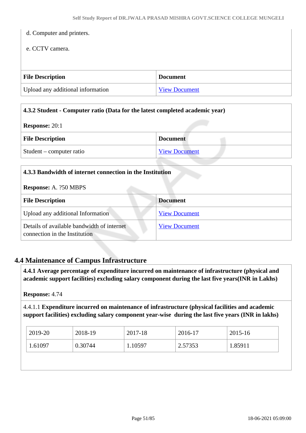d. Computer and printers.

e. CCTV camera.

| <b>File Description</b>           | <b>Document</b>      |
|-----------------------------------|----------------------|
| Upload any additional information | <b>View Document</b> |

### **4.3.2 Student - Computer ratio (Data for the latest completed academic year)**

**Response:** 20:1

| <b>File Description</b>    | <b>Document</b>      |
|----------------------------|----------------------|
| $Student$ – computer ratio | <b>View Document</b> |

| 4.3.3 Bandwidth of internet connection in the Institution                   |                      |  |
|-----------------------------------------------------------------------------|----------------------|--|
| <b>Response:</b> A. ?50 MBPS                                                |                      |  |
| <b>File Description</b>                                                     | <b>Document</b>      |  |
| Upload any additional Information                                           | <b>View Document</b> |  |
| Details of available bandwidth of internet<br>connection in the Institution | <b>View Document</b> |  |

## **4.4 Maintenance of Campus Infrastructure**

 **4.4.1 Average percentage of expenditure incurred on maintenance of infrastructure (physical and academic support facilities) excluding salary component during the last five years(INR in Lakhs)**

**Response:** 4.74

4.4.1.1 **Expenditure incurred on maintenance of infrastructure (physical facilities and academic support facilities) excluding salary component year-wise during the last five years (INR in lakhs)**

| 2019-20 | 2018-19 | 2017-18 | 2016-17 | 2015-16 |
|---------|---------|---------|---------|---------|
| 1.61097 | 0.30744 | .10597  | 2.57353 | 1.85911 |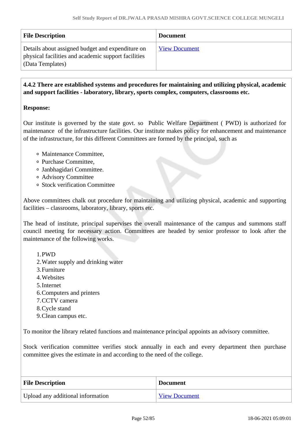| <b>File Description</b>                                                                                                     | <b>Document</b>      |
|-----------------------------------------------------------------------------------------------------------------------------|----------------------|
| Details about assigned budget and expenditure on<br>physical facilities and academic support facilities<br>(Data Templates) | <b>View Document</b> |

 **4.4.2 There are established systems and procedures for maintaining and utilizing physical, academic and support facilities - laboratory, library, sports complex, computers, classrooms etc.**

### **Response:**

Our institute is governed by the state govt. so Public Welfare Department ( PWD) is authorized for maintenance of the infrastructure facilities. Our institute makes policy for enhancement and maintenance of the infrastructure, for this different Committees are formed by the principal, such as

- Maintenance Committee,
- Purchase Committee,
- Janbhagidari Committee.
- Advisory Committee
- Stock verification Committee

Above committees chalk out procedure for maintaining and utilizing physical, academic and supporting facilities – classrooms, laboratory, library, sports etc.

The head of institute, principal supervises the overall maintenance of the campus and summons staff council meeting for necessary action. Committees are headed by senior professor to look after the maintenance of the following works.

### 1.PWD

- 2.Water supply and drinking water
- 3.Furniture
- 4.Websites
- 5.Internet
- 6.Computers and printers
- 7.CCTV camera
- 8.Cycle stand
- 9.Clean campus etc.

To monitor the library related functions and maintenance principal appoints an advisory committee.

Stock verification committee verifies stock annually in each and every department then purchase committee gives the estimate in and according to the need of the college.

| <b>File Description</b>           | <b>Document</b>      |
|-----------------------------------|----------------------|
| Upload any additional information | <b>View Document</b> |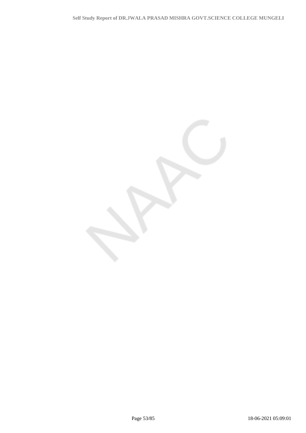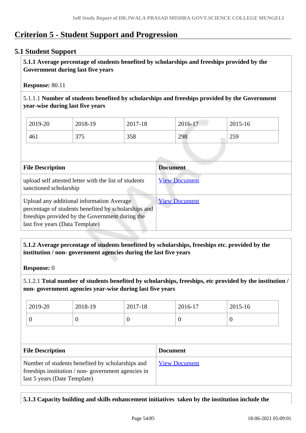# **Criterion 5 - Student Support and Progression**

## **5.1 Student Support**

 **5.1.1 Average percentage of students benefited by scholarships and freeships provided by the Government during last five years** 

**Response:** 80.11

5.1.1.1 **Number of students benefited by scholarships and freeships provided by the Government year-wise during last five years**

| 2019-20 | 2018-19 | 2017-18 | 2016-17 | 2015-16 |
|---------|---------|---------|---------|---------|
| 461     | 375     | 358     | 298     | 259     |

| <b>File Description</b>                                                                                                                                                                 | <b>Document</b>      |
|-----------------------------------------------------------------------------------------------------------------------------------------------------------------------------------------|----------------------|
| upload self attested letter with the list of students<br>sanctioned scholarship                                                                                                         | <b>View Document</b> |
| Upload any additional information Average<br>percentage of students benefited by scholarships and<br>freeships provided by the Government during the<br>last five years (Data Template) | <b>View Document</b> |

## **5.1.2 Average percentage of students benefitted by scholarships, freeships etc. provided by the institution / non- government agencies during the last five years**

**Response:** 0

5.1.2.1 **Total number of students benefited by scholarships, freeships, etc provided by the institution / non- government agencies year-wise during last five years**

| 2019-20 | 2018-19 | 2017-18 | 2016-17 | $2015 - 16$ |
|---------|---------|---------|---------|-------------|
|         | ν       | υ       |         | v           |

| <b>File Description</b>                                                                                                                 | <b>Document</b>      |
|-----------------------------------------------------------------------------------------------------------------------------------------|----------------------|
| Number of students benefited by scholarships and<br>free ships institution / non-government agencies in<br>last 5 years (Date Template) | <b>View Document</b> |

**5.1.3 Capacity building and skills enhancement initiatives taken by the institution include the**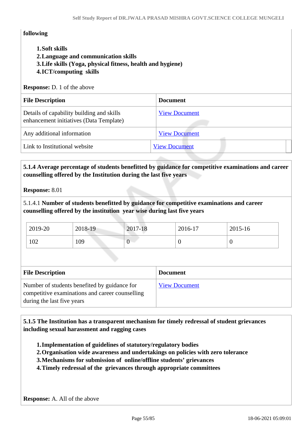### **following**

- **1.Soft skills**
- **2.Language and communication skills**
- **3.Life skills (Yoga, physical fitness, health and hygiene)**
- **4.ICT/computing skills**

**Response:** D. 1 of the above

| <b>File Description</b>                                                              | <b>Document</b>      |
|--------------------------------------------------------------------------------------|----------------------|
| Details of capability building and skills<br>enhancement initiatives (Data Template) | <b>View Document</b> |
| Any additional information                                                           | <b>View Document</b> |
| Link to Institutional website                                                        | <b>View Document</b> |

## **5.1.4 Average percentage of students benefitted by guidance for competitive examinations and career counselling offered by the Institution during the last five years**

**Response:** 8.01

5.1.4.1 **Number of students benefitted by guidance for competitive examinations and career counselling offered by the institution year wise during last five years**

| 2019-20 | 2018-19 | 2017-18        | 2016-17 | 2015-16 |
|---------|---------|----------------|---------|---------|
| 102     | 109     | $\overline{0}$ |         |         |

| <b>File Description</b>                                                                                                       | <b>Document</b>      |
|-------------------------------------------------------------------------------------------------------------------------------|----------------------|
| Number of students benefited by guidance for<br>competitive examinations and career counselling<br>during the last five years | <b>View Document</b> |

 **5.1.5 The Institution has a transparent mechanism for timely redressal of student grievances including sexual harassment and ragging cases**

- **1.Implementation of guidelines of statutory/regulatory bodies**
- **2.Organisation wide awareness and undertakings on policies with zero tolerance**
- **3.Mechanisms for submission of online/offline students' grievances**
- **4.Timely redressal of the grievances through appropriate committees**

**Response:** A. All of the above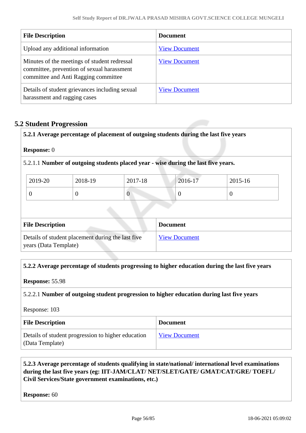| <b>File Description</b>                                                                                                            | <b>Document</b>      |
|------------------------------------------------------------------------------------------------------------------------------------|----------------------|
| Upload any additional information                                                                                                  | <b>View Document</b> |
| Minutes of the meetings of student redressal<br>committee, prevention of sexual harassment<br>committee and Anti Ragging committee | <b>View Document</b> |
| Details of student grievances including sexual<br>harassment and ragging cases                                                     | <b>View Document</b> |

## **5.2 Student Progression**

**5.2.1 Average percentage of placement of outgoing students during the last five years**

**Response:** 0

5.2.1.1 **Number of outgoing students placed year - wise during the last five years.**

| 2019-20 | 2018-19 | 2017-18 | 2016-17 | 2015-16 |
|---------|---------|---------|---------|---------|
|         |         | v       |         |         |

| <b>File Description</b>                                                    | <b>Document</b>      |
|----------------------------------------------------------------------------|----------------------|
| Details of student placement during the last five<br>years (Data Template) | <b>View Document</b> |

### **5.2.2 Average percentage of students progressing to higher education during the last five years**

**Response:** 55.98

### 5.2.2.1 **Number of outgoing student progression to higher education during last five years**

Response: 103

| <b>File Description</b>                                               | <b>Document</b>      |
|-----------------------------------------------------------------------|----------------------|
| Details of student progression to higher education<br>(Data Template) | <b>View Document</b> |

## **5.2.3 Average percentage of students qualifying in state/national/ international level examinations during the last five years (eg: IIT-JAM/CLAT/ NET/SLET/GATE/ GMAT/CAT/GRE/ TOEFL/ Civil Services/State government examinations, etc.)**

**Response:** 60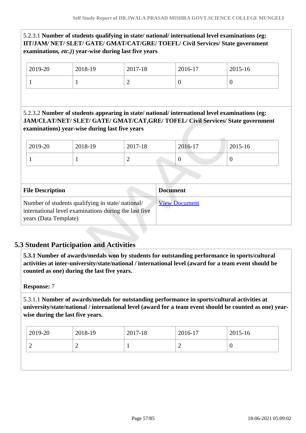## 5.2.3.1 **Number of students qualifying in state/ national/ international level examinations (eg: IIT/JAM/ NET/ SLET/ GATE/ GMAT/CAT/GRE/ TOEFL/ Civil Services/ State government examinations***, etc.)***) year-wise during last five years**

| 2019-20 | 2018-19 | 2017-18 | 2016-17 | 2015-16 |
|---------|---------|---------|---------|---------|
|         |         | ∼       | ◡       |         |

5.2.3.2 **Number of students appearing in state/ national/ international level examinations (eg: JAM/CLAT/NET/ SLET/ GATE/ GMAT/CAT,GRE/ TOFEL/ Civil Services/ State government examinations) year-wise during last five years**

| 2019-20 | 2018-19 | 2017-18 | 2016-17 | 2015-16 |
|---------|---------|---------|---------|---------|
|         |         | -       | ν       |         |

| <b>File Description</b>                                                                                                            | <b>Document</b>      |
|------------------------------------------------------------------------------------------------------------------------------------|----------------------|
| Number of students qualifying in state/national/<br>international level examinations during the last five<br>years (Data Template) | <b>View Document</b> |

## **5.3 Student Participation and Activities**

 **5.3.1 Number of awards/medals won by students for outstanding performance in sports/cultural activities at inter-university/state/national / international level (award for a team event should be counted as one) during the last five years.**

### **Response:** 7

5.3.1.1 **Number of awards/medals for outstanding performance in sports/cultural activities at university/state/national / international level (award for a team event should be counted as one) yearwise during the last five years.**

| 2019-20 | 2018-19 | 2017-18 | 2016-17 | 2015-16 |
|---------|---------|---------|---------|---------|
| ∼       | -       |         | ∼       | υ       |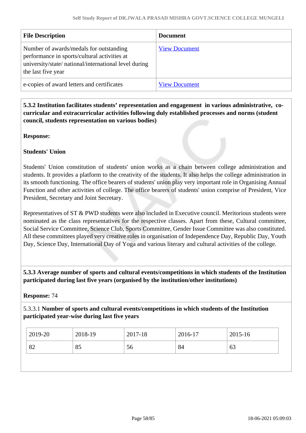| <b>File Description</b>                                                                                                                                                | <b>Document</b>      |
|------------------------------------------------------------------------------------------------------------------------------------------------------------------------|----------------------|
| Number of awards/medals for outstanding<br>performance in sports/cultural activities at<br>university/state/ national/international level during<br>the last five year | <b>View Document</b> |
| e-copies of award letters and certificates                                                                                                                             | <b>View Document</b> |

 **5.3.2 Institution facilitates students' representation and engagement in various administrative, cocurricular and extracurricular activities following duly established processes and norms (student council, students representation on various bodies)** 

**Response:** 

## **Students' Union**

Students' Union constitution of students' union works as a chain between college administration and students. It provides a platform to the creativity of the students. It also helps the college administration in its smooth functioning. The office bearers of students' union play very important role in Organising Annual Function and other activities of college. The office bearers of students' union comprise of President, Vice President, Secretary and Joint Secretary.

Representatives of ST & PWD students were also included in Executive council. Meritorious students were nominated as the class representatives for the respective classes. Apart from these, Cultural committee, Social Service Committee, Science Club, Sports Committee, Gender Issue Committee was also constituted. All these committees played very creative roles in organisation of Independence Day, Republic Day, Youth Day, Science Day, International Day of Yoga and various literary and cultural activities of the college.

## **5.3.3 Average number of sports and cultural events/competitions in which students of the Institution participated during last five years (organised by the institution/other institutions)**

## **Response:** 74

## 5.3.3.1 **Number of sports and cultural events/competitions in which students of the Institution participated year-wise during last five years**

| 2019-20 | 2018-19 | 2017-18 | 2016-17 | $2015 - 16$ |
|---------|---------|---------|---------|-------------|
| 82      | 85      | 56      | 84      | 63          |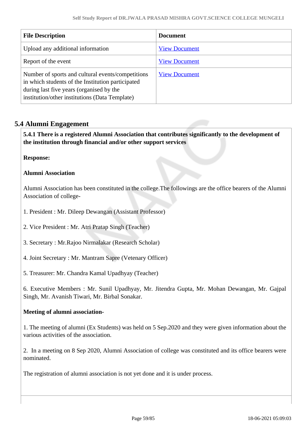| <b>File Description</b>                                                                                                                                                                              | <b>Document</b>      |
|------------------------------------------------------------------------------------------------------------------------------------------------------------------------------------------------------|----------------------|
| Upload any additional information                                                                                                                                                                    | <b>View Document</b> |
| Report of the event                                                                                                                                                                                  | <b>View Document</b> |
| Number of sports and cultural events/competitions<br>in which students of the Institution participated<br>during last five years (organised by the<br>institution/other institutions (Data Template) | <b>View Document</b> |

## **5.4 Alumni Engagement**

 **5.4.1 There is a registered Alumni Association that contributes significantly to the development of the institution through financial and/or other support services**

**Response:** 

### **Alumni Association**

Alumni Association has been constituted in the college.The followings are the office bearers of the Alumni Association of college-

- 1. President : Mr. Dileep Dewangan (Assistant Professor)
- 2. Vice President : Mr. Atri Pratap Singh (Teacher)
- 3. Secretary : Mr.Rajoo Nirmalakar (Research Scholar)
- 4. Joint Secretary : Mr. Mantram Sapre (Vetenary Officer)
- 5. Treasurer: Mr. Chandra Kamal Upadhyay (Teacher)

6. Executive Members : Mr. Sunil Upadhyay, Mr. Jitendra Gupta, Mr. Mohan Dewangan, Mr. Gajpal Singh, Mr. Avanish Tiwari, Mr. Birbal Sonakar.

### **Meeting of alumni association-**

1. The meeting of alumni (Ex Students) was held on 5 Sep.2020 and they were given information about the various activities of the association.

2. In a meeting on 8 Sep 2020, Alumni Association of college was constituted and its office bearers were nominated.

The registration of alumni association is not yet done and it is under process.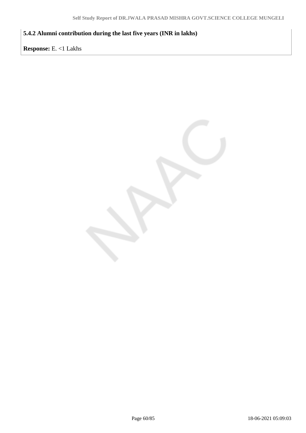## **5.4.2 Alumni contribution during the last five years (INR in lakhs)**

**Response:** E. <1 Lakhs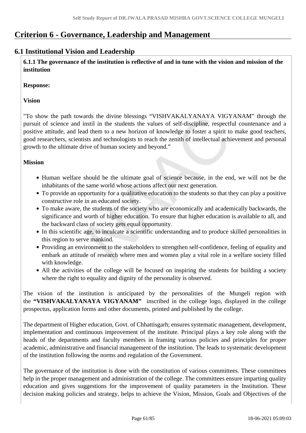# **Criterion 6 - Governance, Leadership and Management**

## **6.1 Institutional Vision and Leadership**

 **6.1.1 The governance of the institution is reflective of and in tune with the vision and mission of the institution**

**Response:** 

**Vision**

"To show the path towards the divine blessings "VISHVAKALYANAYA VIGYANAM" through the pursuit of science and instil in the students the values of self-discipline, respectful countenance and a positive attitude, and lead them to a new horizon of knowledge to foster a spirit to make good teachers, good researchers, scientists and technologists to reach the zenith of intellectual achievement and personal growth to the ultimate drive of human society and beyond."

### **Mission**

- Human welfare should be the ultimate goal of science because, in the end, we will not be the inhabitants of the same world whose actions affect our next generation.
- To provide an opportunity for a qualitative education to the students so that they can play a positive constructive role in an educated society.
- To make aware, the students of the society who are economically and academically backwards, the significance and worth of higher education. To ensure that higher education is available to all, and the backward class of society gets equal opportunity.
- In this scientific age, to inculcate a scientific understanding and to produce skilled personalities in this region to serve mankind.
- Providing an environment to the stakeholders to strengthen self-confidence, feeling of equality and embark an attitude of research where men and women play a vital role in a welfare society filled with knowledge.
- All the activities of the college will be focused on inspiring the students for building a society where the right to equality and dignity of the personality is observed.

The vision of the institution is anticipated by the personalities of the Mungeli region with the **"VISHVAKALYANAYA VIGYANAM"** inscribed in the college logo, displayed in the college prospectus, application forms and other documents, printed and published by the college.

The department of Higher education, Govt. of Chhattisgarh; ensures systematic management, development, implementation and continuous improvement of the institute. Principal plays a key role along with the heads of the departments and faculty members in framing various policies and principles for proper academic, administrative and financial management of the institution. The leads to systematic development of the institution following the norms and regulation of the Government.

The governance of the institution is done with the constitution of various committees. These committees help in the proper management and administration of the college. The committees ensure imparting quality education and gives suggestions for the improvement of quality parameters in the Institution. These decision making policies and strategy, helps to achieve the Vision, Mission, Goals and Objectives of the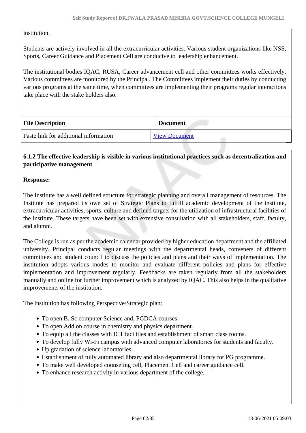## institution.

Students are actively involved in all the extracurricular activities. Various student organizations like NSS, Sports, Career Guidance and Placement Cell are conducive to leadership enhancement.

The institutional bodies IQAC, RUSA, Career advancement cell and other committees works effectively. Various committees are monitored by the Principal. The Committees implement their duties by conducting various programs at the same time, when committees are implementing their programs regular interactions take place with the stake holders also.

| <b>File Description</b>               | <b>Document</b>      |
|---------------------------------------|----------------------|
| Paste link for additional information | <b>View Document</b> |

## **6.1.2 The effective leadership is visible in various institutional practices such as decentralization and participative management**

#### **Response:**

The Institute has a well defined structure for strategic planning and overall management of resources. The Institute has prepared its own set of Strategic Plans to fulfill academic development of the institute, extracurricular activities, sports, culture and defined targets for the utilization of infrastructural facilities of the institute. These targets have been set with extensive consultation with all stakeholders, staff, faculty, and alumni.

The College is run as per the academic calendar provided by higher education department and the affiliated university. Principal conducts regular meetings with the departmental heads, conveners of different committees and student council to discuss the policies and plans and their ways of implementation. The institution adopts various modes to monitor and evaluate different policies and plans for effective implementation and improvement regularly. Feedbacks are taken regularly from all the stakeholders manually and online for further improvement which is analyzed by IQAC. This also helps in the qualitative improvements of the institution.

The institution has following Perspective/Strategic plan:

- To open B. Sc computer Science and, PGDCA courses.
- To open Add on course in chemistry and physics department.
- To equip all the classes with ICT facilities and establishment of smart class rooms.
- To develop fully Wi-Fi campus with advanced computer laboratories for students and faculty.
- Up gradation of science laboratories.
- Establishment of fully automated library and also departmental library for PG programme.
- To make well developed counseling cell, Placement Cell and career guidance cell.
- To enhance research activity in various department of the college.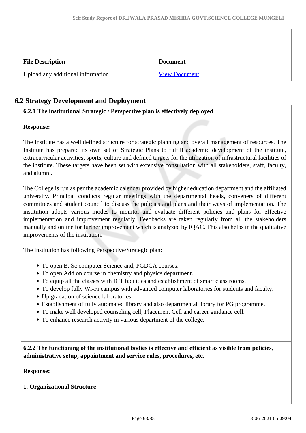| <b>File Description</b>           | <b>Document</b>      |
|-----------------------------------|----------------------|
| Upload any additional information | <b>View Document</b> |

## **6.2 Strategy Development and Deployment**

## **6.2.1 The institutional Strategic / Perspective plan is effectively deployed**

## **Response:**

The Institute has a well defined structure for strategic planning and overall management of resources. The Institute has prepared its own set of Strategic Plans to fulfill academic development of the institute, extracurricular activities, sports, culture and defined targets for the utilization of infrastructural facilities of the institute. These targets have been set with extensive consultation with all stakeholders, staff, faculty, and alumni.

The College is run as per the academic calendar provided by higher education department and the affiliated university. Principal conducts regular meetings with the departmental heads, conveners of different committees and student council to discuss the policies and plans and their ways of implementation. The institution adopts various modes to monitor and evaluate different policies and plans for effective implementation and improvement regularly. Feedbacks are taken regularly from all the stakeholders manually and online for further improvement which is analyzed by IQAC. This also helps in the qualitative improvements of the institution.

The institution has following Perspective/Strategic plan:

- To open B. Sc computer Science and, PGDCA courses.
- To open Add on course in chemistry and physics department.
- To equip all the classes with ICT facilities and establishment of smart class rooms.
- To develop fully Wi-Fi campus with advanced computer laboratories for students and faculty.
- Up gradation of science laboratories.
- Establishment of fully automated library and also departmental library for PG programme.
- To make well developed counseling cell, Placement Cell and career guidance cell.
- To enhance research activity in various department of the college.

 **6.2.2 The functioning of the institutional bodies is effective and efficient as visible from policies, administrative setup, appointment and service rules, procedures, etc.**

**Response:** 

**1. Organizational Structure**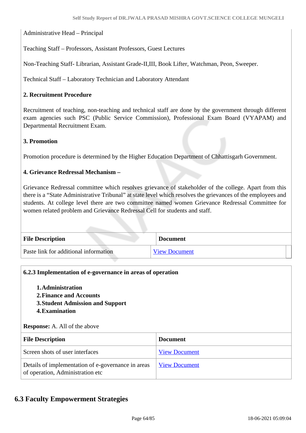Administrative Head – Principal

Teaching Staff – Professors, Assistant Professors, Guest Lectures

Non-Teaching Staff- Librarian, Assistant Grade-II,III, Book Lifter, Watchman, Peon, Sweeper.

Technical Staff – Laboratory Technician and Laboratory Attendant

#### **2. Recruitment Procedure**

Recruitment of teaching, non-teaching and technical staff are done by the government through different exam agencies such PSC (Public Service Commission), Professional Exam Board (VYAPAM) and Departmental Recruitment Exam.

#### **3. Promotion**

Promotion procedure is determined by the Higher Education Department of Chhattisgarh Government.

### **4. Grievance Redressal Mechanism –**

Grievance Redressal committee which resolves grievance of stakeholder of the college. Apart from this there is a "State Administrative Tribunal" at state level which resolves the grievances of the employees and students. At college level there are two committee named women Grievance Redressal Committee for women related problem and Grievance Redressal Cell for students and staff.

| <b>File Description</b>               | <b>Document</b>      |
|---------------------------------------|----------------------|
|                                       |                      |
| Paste link for additional information | <b>View Document</b> |

#### **6.2.3 Implementation of e-governance in areas of operation**

- **1.Administration**
- **2.Finance and Accounts**
- **3.Student Admission and Support**
- **4.Examination**

#### **Response:** A. All of the above

| <b>File Description</b>                                                                | <b>Document</b>      |
|----------------------------------------------------------------------------------------|----------------------|
| Screen shots of user interfaces                                                        | <b>View Document</b> |
| Details of implementation of e-governance in areas<br>of operation, Administration etc | <b>View Document</b> |

## **6.3 Faculty Empowerment Strategies**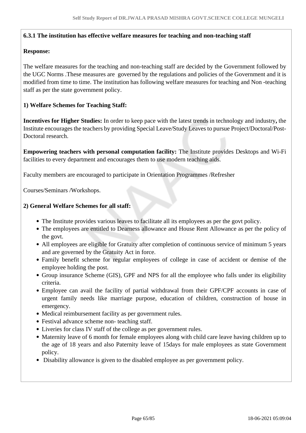### **6.3.1 The institution has effective welfare measures for teaching and non-teaching staff**

#### **Response:**

The welfare measures for the teaching and non-teaching staff are decided by the Government followed by the UGC Norms .These measures are governed by the regulations and policies of the Government and it is modified from time to time. The institution has following welfare measures for teaching and Non -teaching staff as per the state government policy.

### **1) Welfare Schemes for Teaching Staff:**

**Incentives for Higher Studies:** In order to keep pace with the latest trends in technology and industry**,** the Institute encourages the teachers by providing Special Leave/Study Leaves to pursue Project/Doctoral/Post-Doctoral research.

**Empowering teachers with personal computation facility:** The Institute provides Desktops and Wi-Fi facilities to every department and encourages them to use modern teaching aids.

Faculty members are encouraged to participate in Orientation Programmes /Refresher

Courses/Seminars /Workshops.

### **2) General Welfare Schemes for all staff:**

- The Institute provides various leaves to facilitate all its employees as per the govt policy.
- The employees are entitled to Dearness allowance and House Rent Allowance as per the policy of the govt.
- All employees are eligible for Gratuity after completion of continuous service of minimum 5 years and are governed by the Gratuity Act in force.
- Family benefit scheme for regular employees of college in case of accident or demise of the employee holding the post.
- Group insurance Scheme (GIS), GPF and NPS for all the employee who falls under its eligibility criteria.
- Employee can avail the facility of partial withdrawal from their GPF/CPF accounts in case of urgent family needs like marriage purpose, education of children, construction of house in emergency.
- Medical reimbursement facility as per government rules.
- Festival advance scheme non- teaching staff.
- Liveries for class IV staff of the college as per government rules.
- Maternity leave of 6 month for female employees along with child care leave having children up to the age of 18 years and also Paternity leave of 15days for male employees as state Government policy.
- Disability allowance is given to the disabled employee as per government policy.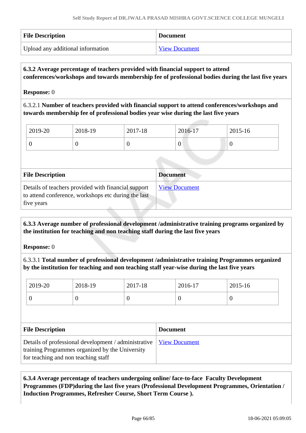| <b>File Description</b>           | <b>Document</b>      |
|-----------------------------------|----------------------|
| Upload any additional information | <b>View Document</b> |

## **6.3.2 Average percentage of teachers provided with financial support to attend conferences/workshops and towards membership fee of professional bodies during the last five years**

**Response:** 0

6.3.2.1 **Number of teachers provided with financial support to attend conferences/workshops and towards membership fee of professional bodies year wise during the last five years**

| 2019-20 | 2018-19 | 2017-18 | 2016-17 | 2015-16 |
|---------|---------|---------|---------|---------|
|         | ν       |         | v       | ν       |

| <b>File Description</b>                                                                                                  | <b>Document</b>      |
|--------------------------------------------------------------------------------------------------------------------------|----------------------|
| Details of teachers provided with financial support<br>to attend conference, workshops etc during the last<br>five years | <b>View Document</b> |

 **6.3.3 Average number of professional development /administrative training programs organized by the institution for teaching and non teaching staff during the last five years**

**Response:** 0

6.3.3.1 **Total number of professional development /administrative training Programmes organized by the institution for teaching and non teaching staff year-wise during the last five years**

|                         | 2019-20                                                                                                                                        | 2018-19  | 2017-18         |  | 2016-17              | 2015-16  |
|-------------------------|------------------------------------------------------------------------------------------------------------------------------------------------|----------|-----------------|--|----------------------|----------|
|                         | $\theta$                                                                                                                                       | $\theta$ | $\theta$        |  | $\theta$             | $\theta$ |
|                         |                                                                                                                                                |          |                 |  |                      |          |
| <b>File Description</b> |                                                                                                                                                |          | <b>Document</b> |  |                      |          |
|                         | Details of professional development / administrative<br>training Programmes organized by the University<br>for teaching and non teaching staff |          |                 |  | <b>View Document</b> |          |

 **6.3.4 Average percentage of teachers undergoing online/ face-to-face Faculty Development Programmes (FDP)during the last five years (Professional Development Programmes, Orientation / Induction Programmes, Refresher Course, Short Term Course ).**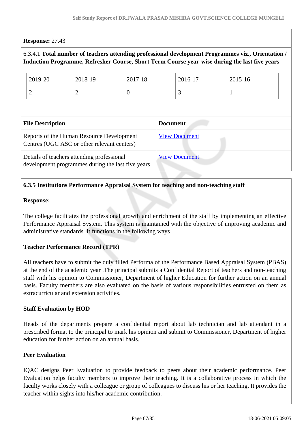## **Response:** 27.43

## 6.3.4.1 **Total number of teachers attending professional development Programmes viz., Orientation / Induction Programme, Refresher Course, Short Term Course year-wise during the last five years**

|                                                                                                 | 2019-20 | 2018-19        | 2017-18         |                      | 2016-17 | 2015-16 |
|-------------------------------------------------------------------------------------------------|---------|----------------|-----------------|----------------------|---------|---------|
|                                                                                                 | 2       | $\overline{2}$ | $\Omega$        |                      | 3       |         |
|                                                                                                 |         |                |                 |                      |         |         |
| <b>File Description</b>                                                                         |         |                | <b>Document</b> |                      |         |         |
| Reports of the Human Resource Development<br>Centres (UGC ASC or other relevant centers)        |         |                |                 | <b>View Document</b> |         |         |
| Details of teachers attending professional<br>development programmes during the last five years |         |                |                 | <b>View Document</b> |         |         |

## **6.3.5 Institutions Performance Appraisal System for teaching and non-teaching staff**

#### **Response:**

The college facilitates the professional growth and enrichment of the staff by implementing an effective Performance Appraisal System. This system is maintained with the objective of improving academic and administrative standards. It functions in the following ways

### **Teacher Performance Record (TPR)**

All teachers have to submit the duly filled Performa of the Performance Based Appraisal System (PBAS) at the end of the academic year .The principal submits a Confidential Report of teachers and non-teaching staff with his opinion to Commissioner, Department of higher Education for further action on an annual basis. Faculty members are also evaluated on the basis of various responsibilities entrusted on them as extracurricular and extension activities.

### **Staff Evaluation by HOD**

Heads of the departments prepare a confidential report about lab technician and lab attendant in a prescribed format to the principal to mark his opinion and submit to Commissioner, Department of higher education for further action on an annual basis.

#### **Peer Evaluation**

IQAC designs Peer Evaluation to provide feedback to peers about their academic performance. Peer Evaluation helps faculty members to improve their teaching. It is a collaborative process in which the faculty works closely with a colleague or group of colleagues to discuss his or her teaching. It provides the teacher within sights into his/her academic contribution.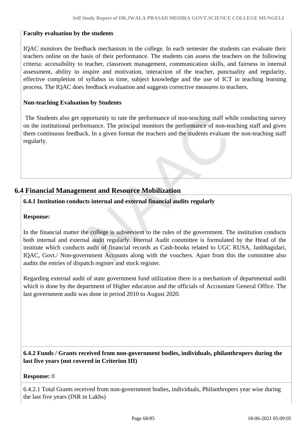## **Faculty evaluation by the students**

IQAC monitors the feedback mechanism in the college. In each semester the students can evaluate their teachers online on the basis of their performance. The students can assess the teachers on the following criteria: accessibility to teacher, classroom management, communication skills, and fairness in internal assessment, ability to inspire and motivation, interaction of the teacher, punctuality and regularity, effective completion of syllabus in time, subject knowledge and the use of ICT in teaching learning process. The IQAC does feedback evaluation and suggests corrective measures to teachers.

### **Non-teaching Evaluation by Students**

 The Students also get opportunity to rate the performance of non-teaching staff while conducting survey on the institutional performance. The principal monitors the performance of non-teaching staff and gives them continuous feedback. In a given format the teachers and the students evaluate the non-teaching staff regularly.

## **6.4 Financial Management and Resource Mobilization**

## **6.4.1 Institution conducts internal and external financial audits regularly**

### **Response:**

In the financial matter the college is subservient to the rules of the government. The institution conducts both internal and external audit regularly. Internal Audit committee is formulated by the Head of the institute which conducts audit of financial records as Cash-books related to UGC RUSA, Janbhagidari, IQAC, Govt./ Non-government Accounts along with the vouchers. Apart from this the committee also audits the entries of dispatch register and stock register.

Regarding external audit of state government fund utilization there is a mechanism of departmental audit which is done by the department of Higher education and the officials of Accountant General Office. The last government audit was done in period 2010 to August 2020.

## **6.4.2 Funds / Grants received from non-government bodies, individuals, philanthropers during the last five years (not covered in Criterion III)**

### **Response:** 0

6.4.2.1 Total Grants received from non-government bodies, individuals, Philanthropers year wise during the last five years (INR in Lakhs)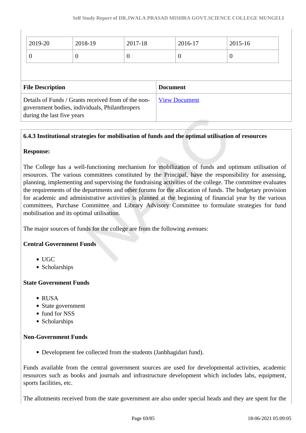| 2019-20                                                                                                                             | 2018-19        | 2017-18          |  | 2016-17              | 2015-16          |  |
|-------------------------------------------------------------------------------------------------------------------------------------|----------------|------------------|--|----------------------|------------------|--|
| $\theta$                                                                                                                            | $\overline{0}$ | $\boldsymbol{0}$ |  | $\Omega$             | $\boldsymbol{0}$ |  |
| <b>File Description</b>                                                                                                             |                |                  |  | <b>Document</b>      |                  |  |
| Details of Funds / Grants received from of the non-<br>government bodies, individuals, Philanthropers<br>during the last five years |                |                  |  | <b>View Document</b> |                  |  |

### **6.4.3 Institutional strategies for mobilisation of funds and the optimal utilisation of resources**

### **Response:**

The College has a well-functioning mechanism for mobilization of funds and optimum utilisation of resources. The various committees constituted by the Principal, have the responsibility for assessing, planning, implementing and supervising the fundraising activities of the college. The committee evaluates the requirements of the departments and other forums for the allocation of funds. The budgetary provision for academic and administrative activities is planned at the beginning of financial year by the various committees, Purchase Committee and Library Advisory Committee to formulate strategies for fund mobilisation and its optimal utilisation.

The major sources of funds for the college are from the following avenues:

### **Central Government Funds**

- $\bullet$  UGC
- Scholarships

### **State Government Funds**

- RUSA
- State government
- fund for NSS
- Scholarships

### **Non-Government Funds**

Development fee collected from the students (Janbhagidari fund).

Funds available from the central government sources are used for developmental activities, academic resources such as books and journals and infrastructure development which includes labs, equipment, sports facilities, etc.

The allotments received from the state government are also under special heads and they are spent for the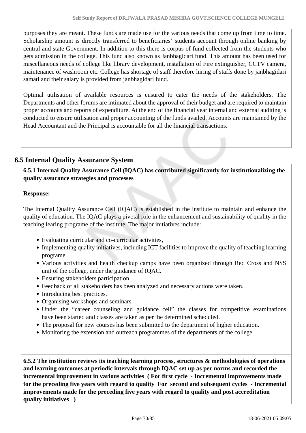purposes they are meant. These funds are made use for the various needs that come up from time to time. Scholarship amount is directly transferred to beneficiaries' students account through online banking by central and state Government. In addition to this there is corpus of fund collected from the students who gets admission in the college. This fund also known as Janbhagidari fund. This amount has been used for miscellaneous needs of college like library development, installation of Fire extinguisher, CCTV camera, maintenance of washroom etc. College has shortage of staff therefore hiring of staffs done by janbhagidari samati and their salary is provided from janbhagidari fund.

Optimal utilisation of available resources is ensured to cater the needs of the stakeholders. The Departments and other forums are intimated about the approval of their budget and are required to maintain proper accounts and reports of expenditure. At the end of the financial year internal and external auditing is conducted to ensure utilisation and proper accounting of the funds availed. Accounts are maintained by the Head Accountant and the Principal is accountable for all the financial transactions.

## **6.5 Internal Quality Assurance System**

 **6.5.1 Internal Quality Assurance Cell (IQAC) has contributed significantly for institutionalizing the quality assurance strategies and processes**

## **Response:**

The Internal Quality Assurance Cell (IQAC) is established in the institute to maintain and enhance the quality of education. The IQAC plays a pivotal role in the enhancement and sustainability of quality in the teaching learing programe of the institute. The major initiatives include:

- Evaluating curricular and co-curricular activities,
- Implementing quality initiatives, including ICT facilities to improve the quality of teaching learning programe.
- Various activities and health checkup camps have been organized through Red Cross and NSS unit of the college, under the guidance of IQAC.
- Ensuring stakeholders participation.
- Feedback of all stakeholders has been analyzed and necessary actions were taken.
- Introducing best practices.
- Organising workshops and seminars.
- Under the "career counseling and guidance cell" the classes for competitive examinations have been started and classes are taken as per the determined scheduled.
- The proposal for new courses has been submitted to the department of higher education.
- Monitoring the extension and outreach programmes of the departments of the college.

 **6.5.2 The institution reviews its teaching learning process, structures & methodologies of operations and learning outcomes at periodic intervals through IQAC set up as per norms and recorded the incremental improvement in various activities ( For first cycle - Incremental improvements made for the preceding five years with regard to quality For second and subsequent cycles - Incremental improvements made for the preceding five years with regard to quality and post accreditation quality initiatives )**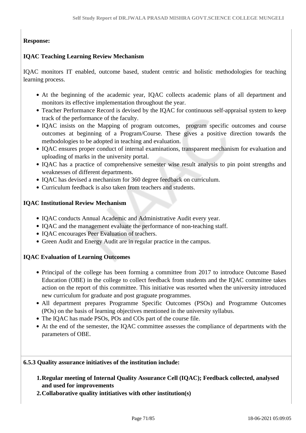## **Response:**

## **IQAC Teaching Learning Review Mechanism**

IQAC monitors IT enabled, outcome based, student centric and holistic methodologies for teaching learning process.

- At the beginning of the academic year, IQAC collects academic plans of all department and monitors its effective implementation throughout the year.
- Teacher Performance Record is devised by the IOAC for continuous self-appraisal system to keep track of the performance of the faculty.
- IQAC insists on the Mapping of program outcomes, program specific outcomes and course outcomes at beginning of a Program/Course. These gives a positive direction towards the methodologies to be adopted in teaching and evaluation.
- IQAC ensures proper conduct of internal examinations, transparent mechanism for evaluation and uploading of marks in the university portal.
- IQAC has a practice of comprehensive semester wise result analysis to pin point strengths and weaknesses of different departments.
- IQAC has devised a mechanism for 360 degree feedback on curriculum.
- Curriculum feedback is also taken from teachers and students.

### **IQAC Institutional Review Mechanism**

- IQAC conducts Annual Academic and Administrative Audit every year.
- IQAC and the management evaluate the performance of non-teaching staff.
- IQAC encourages Peer Evaluation of teachers.
- Green Audit and Energy Audit are in regular practice in the campus.

### **IQAC Evaluation of Learning Outcomes**

- Principal of the college has been forming a committee from 2017 to introduce Outcome Based Education (OBE) in the college to collect feedback from students and the IQAC committee takes action on the report of this committee. This initiative was resorted when the university introduced new curriculum for graduate and post graguate programmes.
- All department prepares Programme Specific Outcomes (PSOs) and Programme Outcomes (POs) on the basis of learning objectives mentioned in the university syllabus.
- The IQAC has made PSOs, POs and COs part of the course file.
- At the end of the semester, the IQAC committee assesses the compliance of departments with the parameters of OBE.

#### **6.5.3 Quality assurance initiatives of the institution include:**

- **1.Regular meeting of Internal Quality Assurance Cell (IQAC); Feedback collected, analysed and used for improvements**
- **2.Collaborative quality intitiatives with other institution(s)**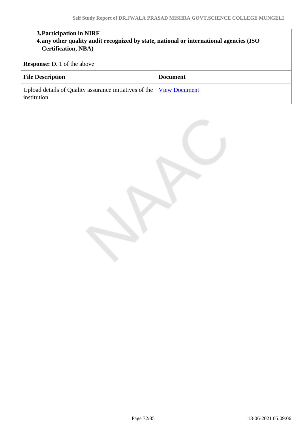## **3.Participation in NIRF**

**4.any other quality audit recognized by state, national or international agencies (ISO Certification, NBA)**

**Response:** D. 1 of the above

| <b>File Description</b>                                                                    | <b>Document</b> |
|--------------------------------------------------------------------------------------------|-----------------|
| Upload details of Quality assurance initiatives of the <u>View Document</u><br>institution |                 |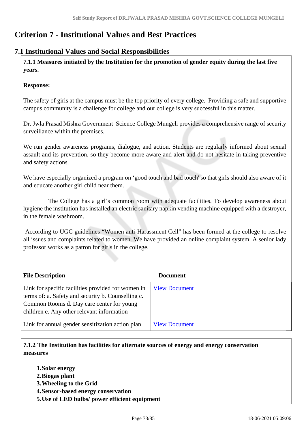# **Criterion 7 - Institutional Values and Best Practices**

## **7.1 Institutional Values and Social Responsibilities**

 **7.1.1 Measures initiated by the Institution for the promotion of gender equity during the last five years.**

#### **Response:**

The safety of girls at the campus must be the top priority of every college. Providing a safe and supportive campus community is a challenge for college and our college is very successful in this matter.

Dr. Jwla Prasad Mishra Government Science College Mungeli provides a comprehensive range of security surveillance within the premises.

We run gender awareness programs, dialogue, and action. Students are regularly informed about sexual assault and its prevention, so they become more aware and alert and do not hesitate in taking preventive and safety actions.

We have especially organized a program on 'good touch and bad touch' so that girls should also aware of it and educate another girl child near them.

 The College has a girl's common room with adequate facilities. To develop awareness about hygiene the institution has installed an electric sanitary napkin vending machine equipped with a destroyer, in the female washroom.

 According to UGC guidelines "Women anti-Harassment Cell" has been formed at the college to resolve all issues and complaints related to women. We have provided an online complaint system. A senior lady professor works as a patron for girls in the college.

| <b>File Description</b>                                                                                                                                                                             | <b>Document</b>      |
|-----------------------------------------------------------------------------------------------------------------------------------------------------------------------------------------------------|----------------------|
| Link for specific facilities provided for women in<br>terms of: a. Safety and security b. Counselling c.<br>Common Rooms d. Day care center for young<br>children e. Any other relevant information | <b>View Document</b> |
| Link for annual gender sensitization action plan                                                                                                                                                    | <b>View Document</b> |

 **7.1.2 The Institution has facilities for alternate sources of energy and energy conservation measures** 

- **1.Solar energy**
- **2.Biogas plant**
- **3.Wheeling to the Grid**
- **4.Sensor-based energy conservation**
- **5.Use of LED bulbs/ power efficient equipment**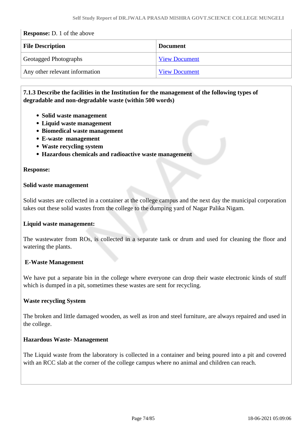| <b>Response:</b> D. 1 of the above |                      |
|------------------------------------|----------------------|
| <b>File Description</b>            | <b>Document</b>      |
| <b>Geotagged Photographs</b>       | <b>View Document</b> |
| Any other relevant information     | <b>View Document</b> |

## **7.1.3 Describe the facilities in the Institution for the management of the following types of degradable and non-degradable waste (within 500 words)**

- **Solid waste management**
- **Liquid waste management**
- **Biomedical waste management**
- **E-waste management**
- **Waste recycling system**
- **Hazardous chemicals and radioactive waste management**

#### **Response:**

#### **Solid waste management**

Solid wastes are collected in a container at the college campus and the next day the municipal corporation takes out these solid wastes from the college to the dumping yard of Nagar Palika Nigam.

#### **Liquid waste management:**

The wastewater from ROs, is collected in a separate tank or drum and used for cleaning the floor and watering the plants.

#### **E-Waste Management**

We have put a separate bin in the college where everyone can drop their waste electronic kinds of stuff which is dumped in a pit, sometimes these wastes are sent for recycling.

#### **Waste recycling System**

The broken and little damaged wooden, as well as iron and steel furniture, are always repaired and used in the college.

#### **Hazardous Waste- Management**

The Liquid waste from the laboratory is collected in a container and being poured into a pit and covered with an RCC slab at the corner of the college campus where no animal and children can reach.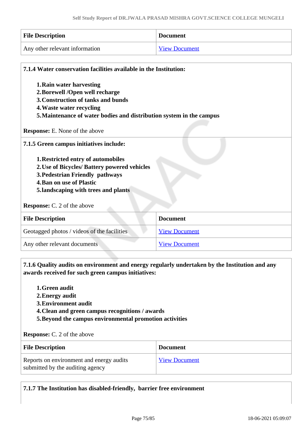| <b>File Description</b>        | <b>Document</b>      |
|--------------------------------|----------------------|
| Any other relevant information | <b>View Document</b> |

| 7.1.4 Water conservation facilities available in the Institution:                                                             |                      |  |
|-------------------------------------------------------------------------------------------------------------------------------|----------------------|--|
| 1. Rain water harvesting                                                                                                      |                      |  |
| 2. Borewell /Open well recharge                                                                                               |                      |  |
| 3. Construction of tanks and bunds                                                                                            |                      |  |
| 4. Waste water recycling                                                                                                      |                      |  |
| 5. Maintenance of water bodies and distribution system in the campus                                                          |                      |  |
|                                                                                                                               |                      |  |
| <b>Response:</b> E. None of the above                                                                                         |                      |  |
| 7.1.5 Green campus initiatives include:<br>1. Restricted entry of automobiles<br>2. Use of Bicycles/ Battery powered vehicles |                      |  |
| 3. Pedestrian Friendly pathways<br><b>4. Ban on use of Plastic</b>                                                            |                      |  |
| 5.landscaping with trees and plants                                                                                           |                      |  |
|                                                                                                                               |                      |  |
| <b>Response:</b> C. 2 of the above                                                                                            |                      |  |
| <b>File Description</b>                                                                                                       | <b>Document</b>      |  |
| Geotagged photos / videos of the facilities                                                                                   | <b>View Document</b> |  |
| Any other relevant documents                                                                                                  | <b>View Document</b> |  |
|                                                                                                                               |                      |  |

 **7.1.6 Quality audits on environment and energy regularly undertaken by the Institution and any awards received for such green campus initiatives:**

- **1.Green audit**
- **2.Energy audit**
- **3.Environment audit**
- **4.Clean and green campus recognitions / awards**
- **5.Beyond the campus environmental promotion activities**

**Response:** C. 2 of the above

| <b>File Description</b>                                                      | <b>Document</b>      |
|------------------------------------------------------------------------------|----------------------|
| Reports on environment and energy audits<br>submitted by the auditing agency | <b>View Document</b> |

**7.1.7 The Institution has disabled-friendly, barrier free environment**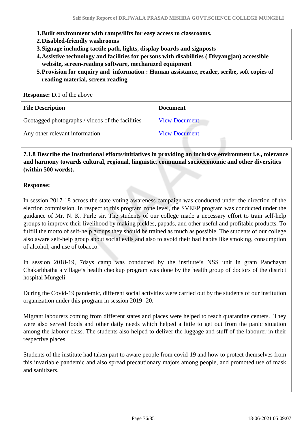- **1.Built environment with ramps/lifts for easy access to classrooms.**
- **2.Disabled-friendly washrooms**
- **3.Signage including tactile path, lights, display boards and signposts**
- **4.Assistive technology and facilities for persons with disabilities ( Divyangjan) accessible website, screen-reading software, mechanized equipment**
- **5.Provision for enquiry and information : Human assistance, reader, scribe, soft copies of reading material, screen reading**

**Response:** D.1 of the above

| <b>File Description</b>                          | <b>Document</b>      |
|--------------------------------------------------|----------------------|
| Geotagged photographs / videos of the facilities | <b>View Document</b> |
| Any other relevant information                   | <b>View Document</b> |

## **7.1.8 Describe the Institutional efforts/initiatives in providing an inclusive environment i.e., tolerance and harmony towards cultural, regional, linguistic, communal socioeconomic and other diversities (within 500 words).**

## **Response:**

In session 2017-18 across the state voting awareness campaign was conducted under the direction of the election commission. In respect to this program zone level, the SVEEP program was conducted under the guidance of Mr. N. K. Purle sir. The students of our college made a necessary effort to train self-help groups to improve their livelihood by making pickles, papads, and other useful and profitable products. To fulfill the motto of self-help groups they should be trained as much as possible. The students of our college also aware self-help group about social evils and also to avoid their bad habits like smoking, consumption of alcohol, and use of tobacco.

In session 2018-19, 7days camp was conducted by the institute's NSS unit in gram Panchayat Chakarbhatha a village's health checkup program was done by the health group of doctors of the district hospital Mungeli.

During the Covid-19 pandemic, different social activities were carried out by the students of our institution organization under this program in session 2019 -20.

Migrant labourers coming from different states and places were helped to reach quarantine centers. They were also served foods and other daily needs which helped a little to get out from the panic situation among the laborer class. The students also helped to deliver the luggage and stuff of the labourer in their respective places.

Students of the institute had taken part to aware people from covid-19 and how to protect themselves from this invariable pandemic and also spread precautionary majors among people, and promoted use of mask and sanitizers.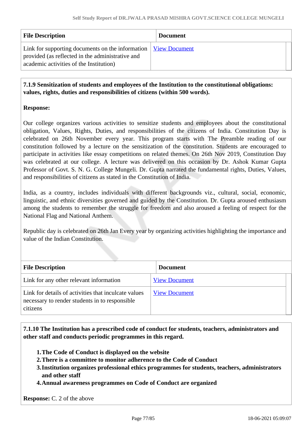| <b>File Description</b>                                                                                                                         | <b>Document</b>      |
|-------------------------------------------------------------------------------------------------------------------------------------------------|----------------------|
| Link for supporting documents on the information<br>provided (as reflected in the administrative and<br>academic activities of the Institution) | <b>View Document</b> |

## **7.1.9 Sensitization of students and employees of the Institution to the constitutional obligations: values, rights, duties and responsibilities of citizens (within 500 words).**

## **Response:**

Our college organizes various activities to sensitize students and employees about the constitutional obligation, Values, Rights, Duties, and responsibilities of the citizens of India. Constitution Day is celebrated on 26th November every year. This program starts with The Preamble reading of our constitution followed by a lecture on the sensitization of the constitution. Students are encouraged to participate in activities like essay competitions on related themes. On 26th Nov 2019, Constitution Day was celebrated at our college. A lecture was delivered on this occasion by Dr. Ashok Kumar Gupta Professor of Govt. S. N. G. College Mungeli. Dr. Gupta narrated the fundamental rights, Duties, Values, and responsibilities of citizens as stated in the Constitution of India.

India, as a country, includes individuals with different backgrounds viz., cultural, social, economic, linguistic, and ethnic diversities governed and guided by the Constitution. Dr. Gupta aroused enthusiasm among the students to remember the struggle for freedom and also aroused a feeling of respect for the National Flag and National Anthem.

Republic day is celebrated on 26th Jan Every year by organizing activities highlighting the importance and value of the Indian Constitution.

| <b>File Description</b>                                                                                            | <b>Document</b>      |
|--------------------------------------------------------------------------------------------------------------------|----------------------|
| Link for any other relevant information                                                                            | <b>View Document</b> |
| Link for details of activities that inculcate values<br>necessary to render students in to responsible<br>citizens | <b>View Document</b> |

 **7.1.10 The Institution has a prescribed code of conduct for students, teachers, administrators and other staff and conducts periodic programmes in this regard.** 

- **1.The Code of Conduct is displayed on the website**
- **2.There is a committee to monitor adherence to the Code of Conduct**
- **3.Institution organizes professional ethics programmes for students, teachers, administrators and other staff**
- **4.Annual awareness programmes on Code of Conduct are organized**

**Response:** C. 2 of the above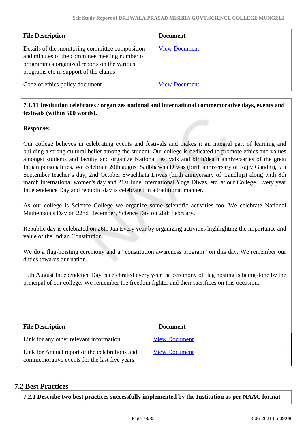| <b>File Description</b>                                                                                                                                                                   | <b>Document</b>      |
|-------------------------------------------------------------------------------------------------------------------------------------------------------------------------------------------|----------------------|
| Details of the monitoring committee composition<br>and minutes of the committee meeting number of<br>programmes organized reports on the various<br>programs etc in support of the claims | <b>View Document</b> |
| Code of ethics policy document                                                                                                                                                            | <b>View Document</b> |

## **7.1.11 Institution celebrates / organizes national and international commemorative days, events and festivals (within 500 words).**

## **Response:**

Our college believes in celebrating events and festivals and makes it an integral part of learning and building a strong cultural belief among the student. Our college is dedicated to promote ethics and values amongst students and faculty and organize National festivals and birth/death anniversaries of the great Indian personalities. We celebrate 20th august Sadbhawna Diwas (birth anniversary of Rajiv Gandhi), 5th September teacher's day, 2nd October Swachhata Diwas (birth anniversary of Gandhiji) along with 8th march International women's day and 21st June International Yoga Diwas, etc. at our College. Every year Independence Day and republic day is celebrated in a traditional manner.

As our college is Science College we organize some scientific activities too. We celebrate National Mathematics Day on 22nd December, Science Day on 28th February.

Republic day is celebrated on 26th Jan Every year by organizing activities highlighting the importance and value of the Indian Constitution.

We do a flag-hoisting ceremony and a "constitution awareness program" on this day. We remember our duties towards our nation.

15th August Independence Day is celebrated every year the ceremony of flag hosting is being done by the principal of our college. We remember the freedom fighter and their sacrifices on this occasion.

| <b>File Description</b>                                                                        | <b>Document</b>      |
|------------------------------------------------------------------------------------------------|----------------------|
| Link for any other relevant information                                                        | <b>View Document</b> |
| Link for Annual report of the celebrations and<br>commemorative events for the last five years | <b>View Document</b> |

## **7.2 Best Practices**

**7.2.1 Describe two best practices successfully implemented by the Institution as per NAAC format**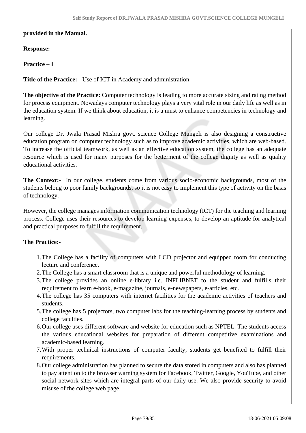## **provided in the Manual.**

**Response:** 

## **Practice – I**

**Title of the Practice: -** Use of ICT in Academy and administration.

**The objective of the Practice:** Computer technology is leading to more accurate sizing and rating method for process equipment. Nowadays computer technology plays a very vital role in our daily life as well as in the education system. If we think about education, it is a must to enhance competencies in technology and learning.

Our college Dr. Jwala Prasad Mishra govt. science College Mungeli is also designing a constructive education program on computer technology such as to improve academic activities, which are web-based. To increase the official teamwork, as well as an effective education system, the college has an adequate resource which is used for many purposes for the betterment of the college dignity as well as quality educational activities.

**The Context:-** In our college, students come from various socio-economic backgrounds, most of the students belong to poor family backgrounds, so it is not easy to implement this type of activity on the basis of technology.

However, the college manages information communication technology (ICT) for the teaching and learning process. College uses their resources to develop learning expenses, to develop an aptitude for analytical and practical purposes to fulfill the requirement.

## **The Practice:-**

- 1.The College has a facility of computers with LCD projector and equipped room for conducting lecture and conference.
- 2.The College has a smart classroom that is a unique and powerful methodology of learning.
- 3.The college provides an online e-library i.e. INFLIBNET to the student and fulfills their requirement to learn e-book, e-magazine, journals, e-newspapers, e-articles, etc.
- 4.The college has 35 computers with internet facilities for the academic activities of teachers and students.
- 5.The college has 5 projectors, two computer labs for the teaching-learning process by students and college faculties.
- 6.Our college uses different software and website for education such as NPTEL. The students access the various educational websites for preparation of different competitive examinations and academic-based learning.
- 7.With proper technical instructions of computer faculty, students get benefited to fulfill their requirements.
- 8.Our college administration has planned to secure the data stored in computers and also has planned to pay attention to the browser warning system for Facebook, Twitter, Google, YouTube, and other social network sites which are integral parts of our daily use. We also provide security to avoid misuse of the college web page.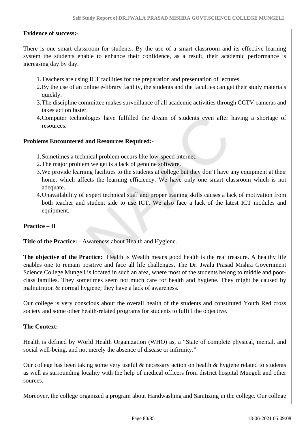## **Evidence of success:-**

There is one smart classroom for students. By the use of a smart classroom and its effective learning system the students enable to enhance their confidence, as a result, their academic performance is increasing day by day.

- 1.Teachers are using ICT facilities for the preparation and presentation of lectures.
- 2.By the use of an online e-library facility, the students and the faculties can get their study materials quickly.
- 3.The discipline committee makes surveillance of all academic activities through CCTV cameras and takes action faster.
- 4.Computer technologies have fulfilled the dream of students even after having a shortage of resources.

#### **Problems Encountered and Resources Required:-**

- 1.Sometimes a technical problem occurs like low-speed internet.
- 2.The major problem we get is a lack of genuine software.
- 3.We provide learning facilities to the students at college but they don't have any equipment at their home, which affects the learning efficiency. We have only one smart classroom which is not adequate.
- 4.Unavailability of expert technical staff and proper training skills causes a lack of motivation from both teacher and student side to use ICT. We also face a lack of the latest ICT modules and equipment.

## **Practice – II**

**Title of the Practice: -** Awareness about Health and Hygiene.

**The objective of the Practice:** Health is Wealth means good health is the real treasure. A healthy life enables one to remain positive and face all life challenges. The Dr. Jwala Prasad Mishra Government Science College Mungeli is located in such an area, where most of the students belong to middle and poorclass families. They sometimes seem not much care for health and hygiene. They might be caused by malnutrition & normal hygiene; they have a lack of awareness.

Our college is very conscious about the overall health of the students and constituted Youth Red cross society and some other health-related programs for students to fulfill the objective.

## **The Context:-**

Health is defined by World Health Organization (WHO) as, a "State of complete physical, mental, and social well-being, and not merely the absence of disease or infirmity."

Our college has been taking some very useful  $\&$  necessary action on health  $\&$  hygiene related to students as well as surrounding locality with the help of medical officers from district hospital Mungeli and other sources.

Moreover, the college organized a program about Handwashing and Sanitizing in the college. Our college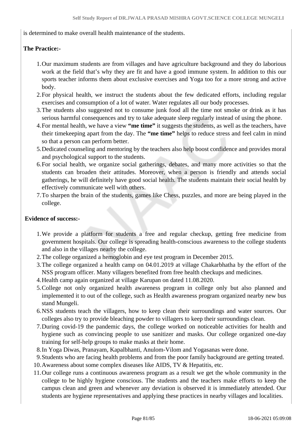is determined to make overall health maintenance of the students.

## **The Practice:-**

- 1.Our maximum students are from villages and have agriculture background and they do laborious work at the field that's why they are fit and have a good immune system. In addition to this our sports teacher informs them about exclusive exercises and Yoga too for a more strong and active body.
- 2.For physical health, we instruct the students about the few dedicated efforts, including regular exercises and consumption of a lot of water. Water regulates all our body processes.
- 3.The students also suggested not to consume junk food all the time not smoke or drink as it has serious harmful consequences and try to take adequate sleep regularly instead of using the phone.
- 4.For mental health, we have a view **"me time"** it suggests the students, as well as the teachers, have their timekeeping apart from the day. The **"me time"** helps to reduce stress and feel calm in mind so that a person can perform better.
- 5.Dedicated counseling and mentoring by the teachers also help boost confidence and provides moral and psychological support to the students.
- 6.For social health, we organize social gatherings, debates, and many more activities so that the students can broaden their attitudes. Moreover, when a person is friendly and attends social gatherings, he will definitely have good social health. The students maintain their social health by effectively communicate well with others.
- 7.To sharpen the brain of the students, games like Chess, puzzles, and more are being played in the college.

#### **Evidence of success:-**

- 1.We provide a platform for students a free and regular checkup, getting free medicine from government hospitals. Our college is spreading health-conscious awareness to the college students and also in the villages nearby the college.
- 2.The college organized a hemoglobin and eye test program in December 2015.
- 3.The college organized a health camp on 04.01.2019 at village Chakarbhatha by the effort of the NSS program officer. Many villagers benefited from free health checkups and medicines.
- 4.Health camp again organized at village Karupan on dated 11.08.2020.
- 5.College not only organized health awareness program in college only but also planned and implemented it to out of the college, such as Health awareness program organized nearby new bus stand Mungeli.
- 6.NSS students teach the villagers, how to keep clean their surroundings and water sources. Our colleges also try to provide bleaching powder to villagers to keep their surroundings clean.
- 7.During covid-19 the pandemic days, the college worked on noticeable activities for health and hygiene such as convincing people to use sanitizer and masks. Our college organized one-day training for self-help groups to make masks at their home.
- 8.In Yoga Diwas, Pranayam, Kapalbhanti, Anulom-Vilom and Yogasanas were done.
- 9.Students who are facing health problems and from the poor family background are getting treated.
- 10.Awareness about some complex diseases like AIDS, TV & Hepatitis, etc.
- 11.Our college runs a continuous awareness program as a result we get the whole community in the college to be highly hygiene conscious. The students and the teachers make efforts to keep the campus clean and green and whenever any deviation is observed it is immediately attended. Our students are hygiene representatives and applying these practices in nearby villages and localities.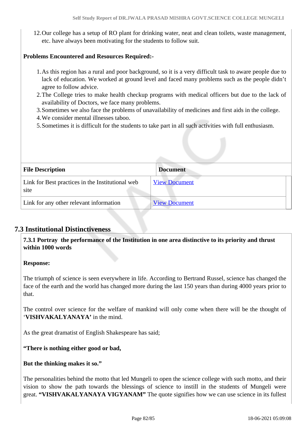12.Our college has a setup of RO plant for drinking water, neat and clean toilets, waste management, etc. have always been motivating for the students to follow suit.

## **Problems Encountered and Resources Required:-**

- 1.As this region has a rural and poor background, so it is a very difficult task to aware people due to lack of education. We worked at ground level and faced many problems such as the people didn't agree to follow advice.
- 2.The College tries to make health checkup programs with medical officers but due to the lack of availability of Doctors, we face many problems.
- 3.Sometimes we also face the problems of unavailability of medicines and first aids in the college.
- 4.We consider mental illnesses taboo.
- 5.Sometimes it is difficult for the students to take part in all such activities with full enthusiasm.

| <b>File Description</b>                                  | <b>Document</b>      |
|----------------------------------------------------------|----------------------|
| Link for Best practices in the Institutional web<br>site | <b>View Document</b> |
| Link for any other relevant information                  | <b>View Document</b> |

## **7.3 Institutional Distinctiveness**

 **7.3.1 Portray the performance of the Institution in one area distinctive to its priority and thrust within 1000 words**

## **Response:**

The triumph of science is seen everywhere in life. According to Bertrand Russel, science has changed the face of the earth and the world has changed more during the last 150 years than during 4000 years prior to that.

The control over science for the welfare of mankind will only come when there will be the thought of '**VISHVAKALYANAYA'** in the mind.

As the great dramatist of English Shakespeare has said;

**"There is nothing either good or bad,**

## **But the thinking makes it so."**

The personalities behind the motto that led Mungeli to open the science college with such motto, and their vision to show the path towards the blessings of science to instill in the students of Mungeli were great. **"VISHVAKALYANAYA VIGYANAM"** The quote signifies how we can use science in its fullest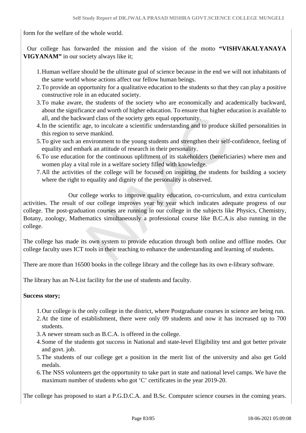form for the welfare of the whole world.

 Our college has forwarded the mission and the vision of the motto **"VISHVAKALYANAYA VIGYANAM"** in our society always like it;

- 1.Human welfare should be the ultimate goal of science because in the end we will not inhabitants of the same world whose actions affect our fellow human beings.
- 2.To provide an opportunity for a qualitative education to the students so that they can play a positive constructive role in an educated society.
- 3.To make aware, the students of the society who are economically and academically backward, about the significance and worth of higher education. To ensure that higher education is available to all, and the backward class of the society gets equal opportunity.
- 4.In the scientific age, to inculcate a scientific understanding and to produce skilled personalities in this region to serve mankind.
- 5.To give such an environment to the young students and strengthen their self-confidence, feeling of equality and embark an attitude of research in their personality.
- 6.To use education for the continuous upliftment of its stakeholders (beneficiaries) where men and women play a vital role in a welfare society filled with knowledge.
- 7.All the activities of the college will be focused on inspiring the students for building a society where the right to equality and dignity of the personality is observed.

 Our college works to improve quality education, co-curriculum, and extra curriculum activities. The result of our college improves year by year which indicates adequate progress of our college. The post-graduation courses are running in our college in the subjects like Physics, Chemistry, Botany, zoology, Mathematics simultaneously a professional course like B.C.A.is also running in the college.

The college has made its own system to provide education through both online and offline modes. Our college faculty uses ICT tools in their teaching to enhance the understanding and learning of students.

There are more than 16500 books in the college library and the college has its own e-library software.

The library has an N-List facility for the use of students and faculty.

## **Success story;**

- 1.Our college is the only college in the district, where Postgraduate courses in science are being run.
- 2.At the time of establishment, there were only 09 students and now it has increased up to 700 students.
- 3.A newer stream such as B.C.A. is offered in the college.
- 4.Some of the students got success in National and state-level Eligibility test and got better private and govt. job.
- 5.The students of our college get a position in the merit list of the university and also get Gold medals.
- 6.The NSS volunteers get the opportunity to take part in state and national level camps. We have the maximum number of students who got 'C' certificates in the year 2019-20.

The college has proposed to start a P.G.D.C.A. and B.Sc. Computer science courses in the coming years.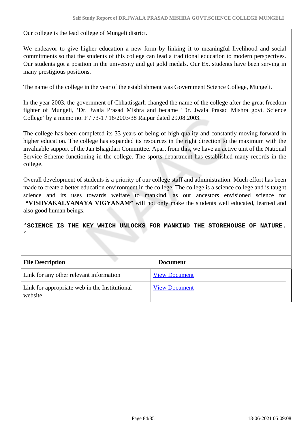Our college is the lead college of Mungeli district.

**'**

We endeavor to give higher education a new form by linking it to meaningful livelihood and social commitments so that the students of this college can lead a traditional education to modern perspectives. Our students got a position in the university and get gold medals. Our Ex. students have been serving in many prestigious positions.

The name of the college in the year of the establishment was Government Science College, Mungeli.

In the year 2003, the government of Chhattisgarh changed the name of the college after the great freedom fighter of Mungeli, 'Dr. Jwala Prasad Mishra and became 'Dr. Jwala Prasad Mishra govt. Science College' by a memo no. F / 73-1 / 16/2003/38 Raipur dated 29.08.2003.

The college has been completed its 33 years of being of high quality and constantly moving forward in higher education. The college has expanded its resources in the right direction to the maximum with the invaluable support of the Jan Bhagidari Committee. Apart from this, we have an active unit of the National Service Scheme functioning in the college. The sports department has established many records in the college.

Overall development of students is a priority of our college staff and administration. Much effort has been made to create a better education environment in the college. The college is a science college and is taught science and its uses towards welfare to mankind, as our ancestors envisioned science for **"VISHVAKALYANAYA VIGYANAM"** will not only make the students well educated, learned and also good human beings.

**'SCIENCE IS THE KEY WHICH UNLOCKS FOR MANKIND THE STOREHOUSE OF NATURE.**

| <b>File Description</b>                                  | <b>Document</b>      |
|----------------------------------------------------------|----------------------|
| Link for any other relevant information                  | <b>View Document</b> |
| Link for appropriate web in the Institutional<br>website | <b>View Document</b> |